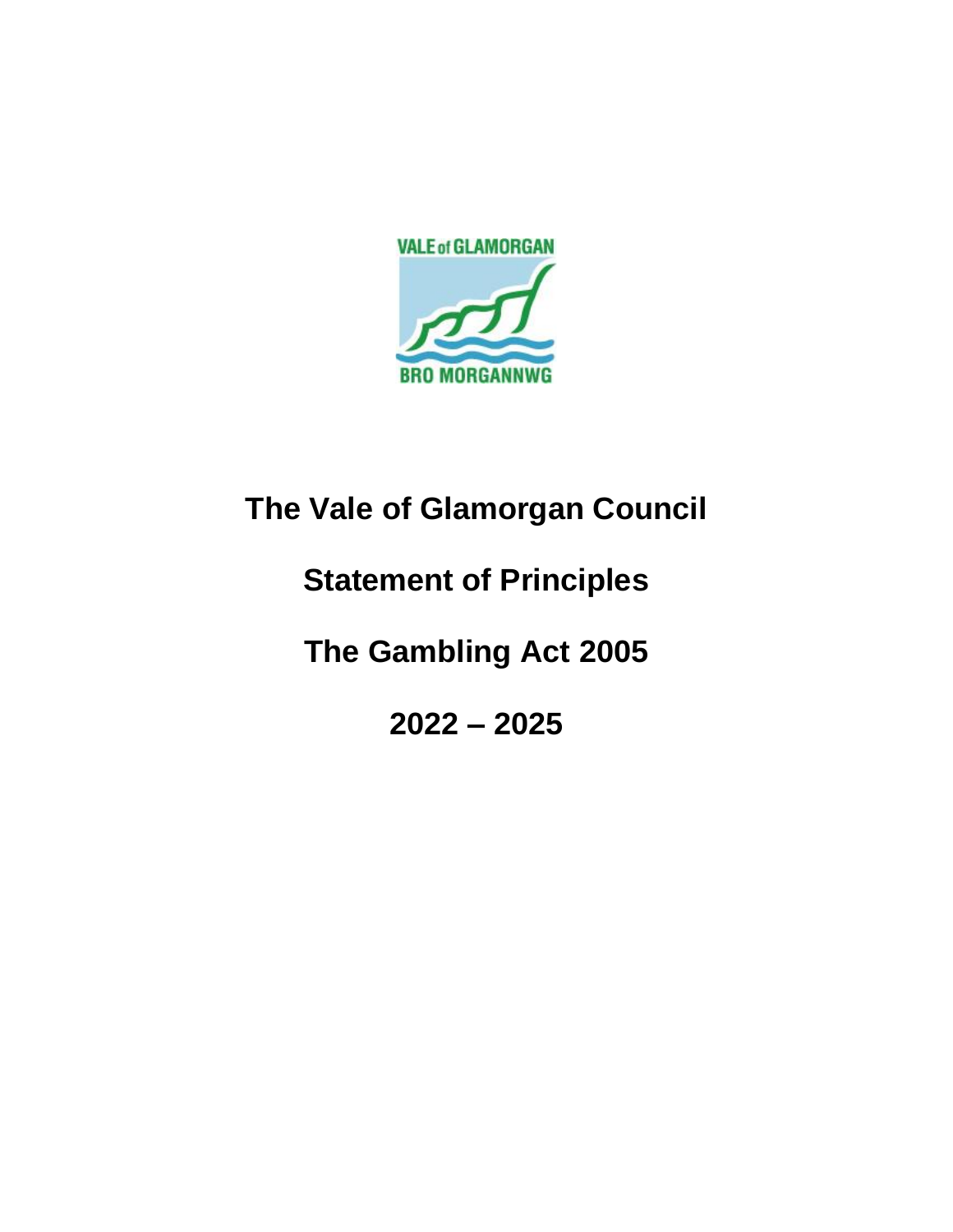

# **The Vale of Glamorgan Council**

# **Statement of Principles**

**The Gambling Act 2005**

**2022 – 2025**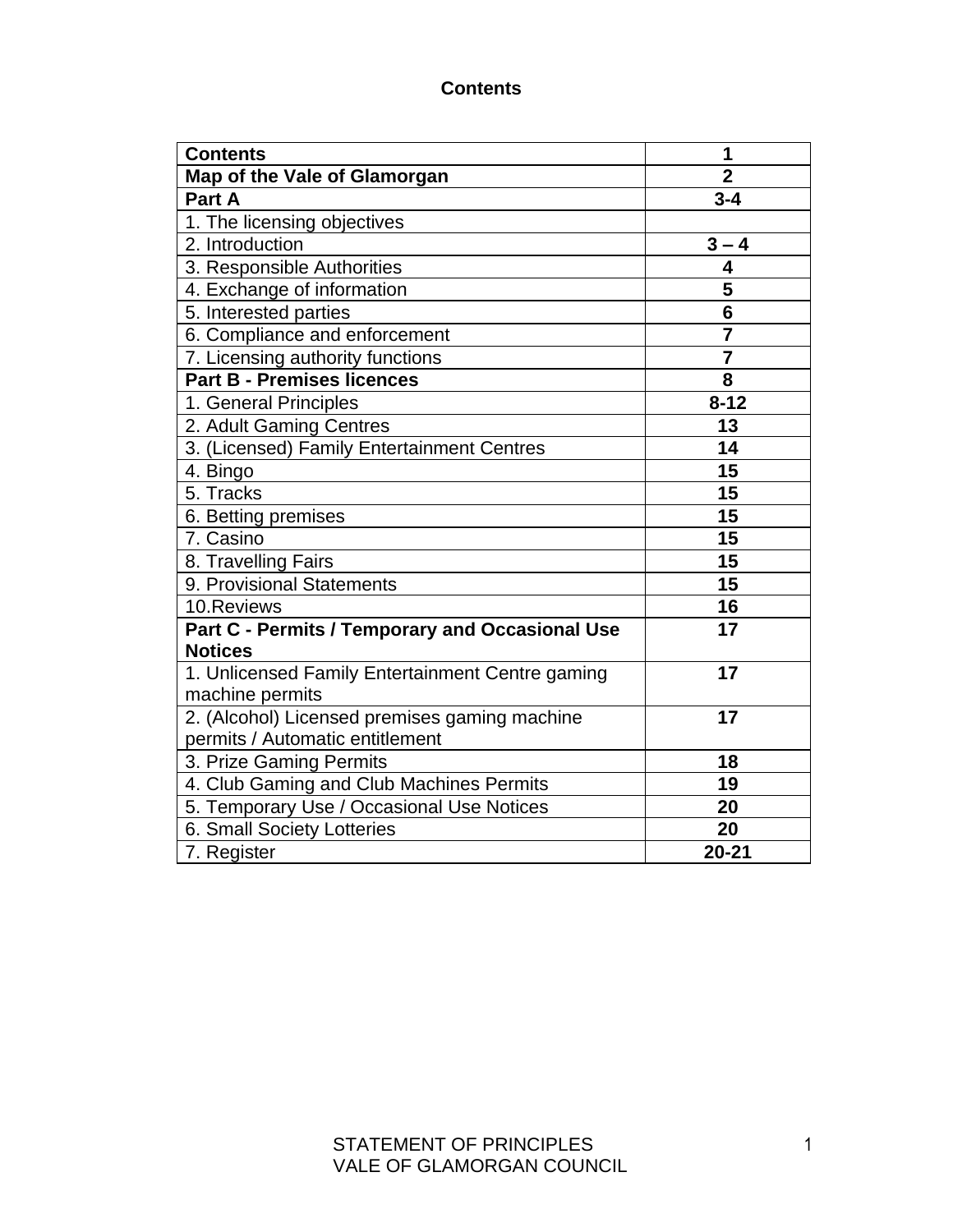#### **Contents**

| <b>Contents</b>                                  | 1              |
|--------------------------------------------------|----------------|
| Map of the Vale of Glamorgan                     | $\overline{2}$ |
| Part A                                           | $3 - 4$        |
| 1. The licensing objectives                      |                |
| 2. Introduction                                  | $3 - 4$        |
| 3. Responsible Authorities                       | 4              |
| 4. Exchange of information                       | 5              |
| 5. Interested parties                            | 6              |
| 6. Compliance and enforcement                    | $\overline{7}$ |
| 7. Licensing authority functions                 | $\overline{7}$ |
| <b>Part B - Premises licences</b>                | 8              |
| 1. General Principles                            | $8 - 12$       |
| 2. Adult Gaming Centres                          | 13             |
| 3. (Licensed) Family Entertainment Centres       | 14             |
| 4. Bingo                                         | 15             |
| 5. Tracks                                        | 15             |
| 6. Betting premises                              | 15             |
| 7. Casino                                        | 15             |
| 8. Travelling Fairs                              | 15             |
| 9. Provisional Statements                        | 15             |
| 10.Reviews                                       | 16             |
| Part C - Permits / Temporary and Occasional Use  | 17             |
| <b>Notices</b>                                   |                |
| 1. Unlicensed Family Entertainment Centre gaming | 17             |
| machine permits                                  |                |
| 2. (Alcohol) Licensed premises gaming machine    | 17             |
| permits / Automatic entitlement                  |                |
| 3. Prize Gaming Permits                          | 18             |
| 4. Club Gaming and Club Machines Permits         | 19             |
| 5. Temporary Use / Occasional Use Notices        | 20             |
| 6. Small Society Lotteries                       | 20             |
| 7. Register                                      | $20 - 21$      |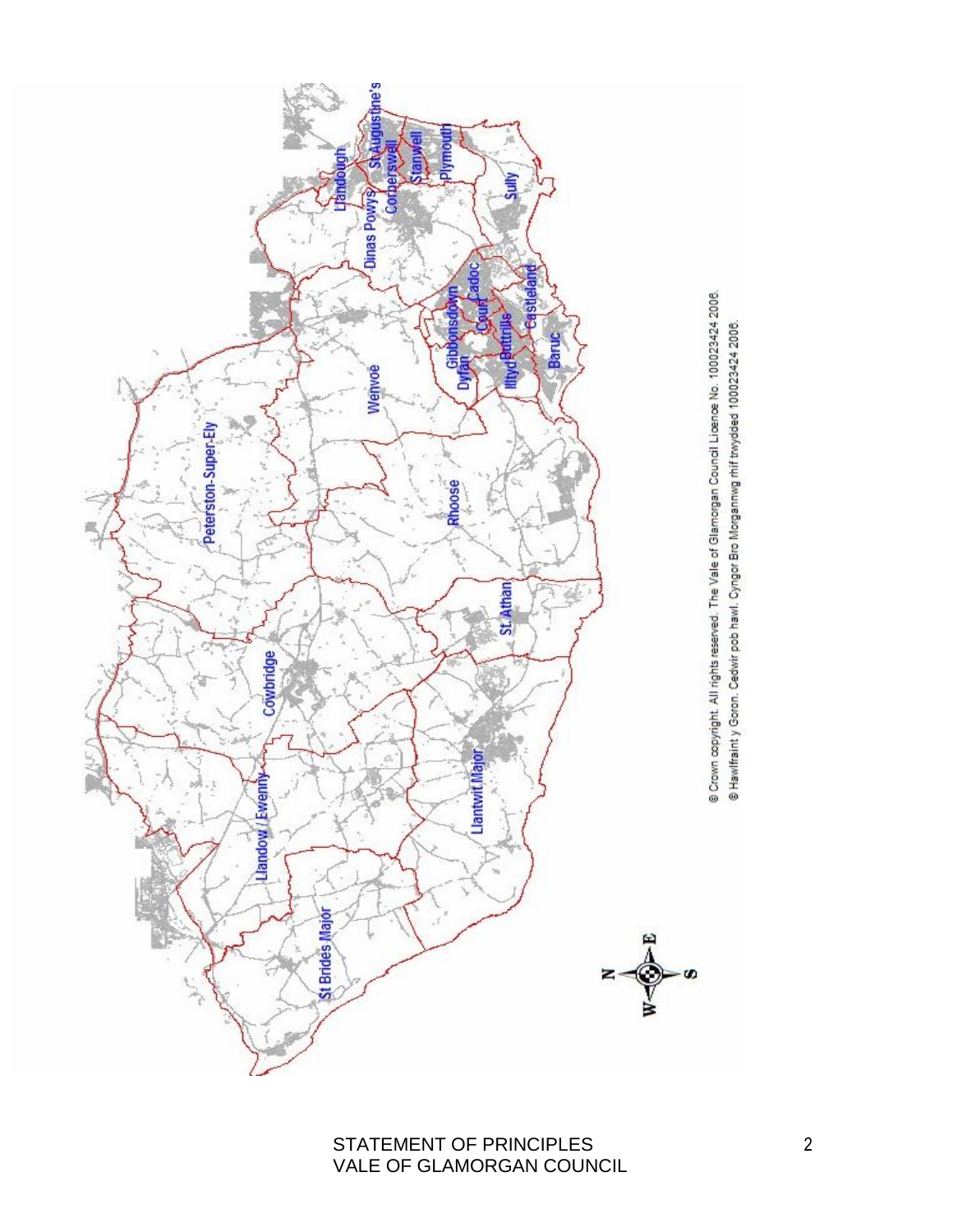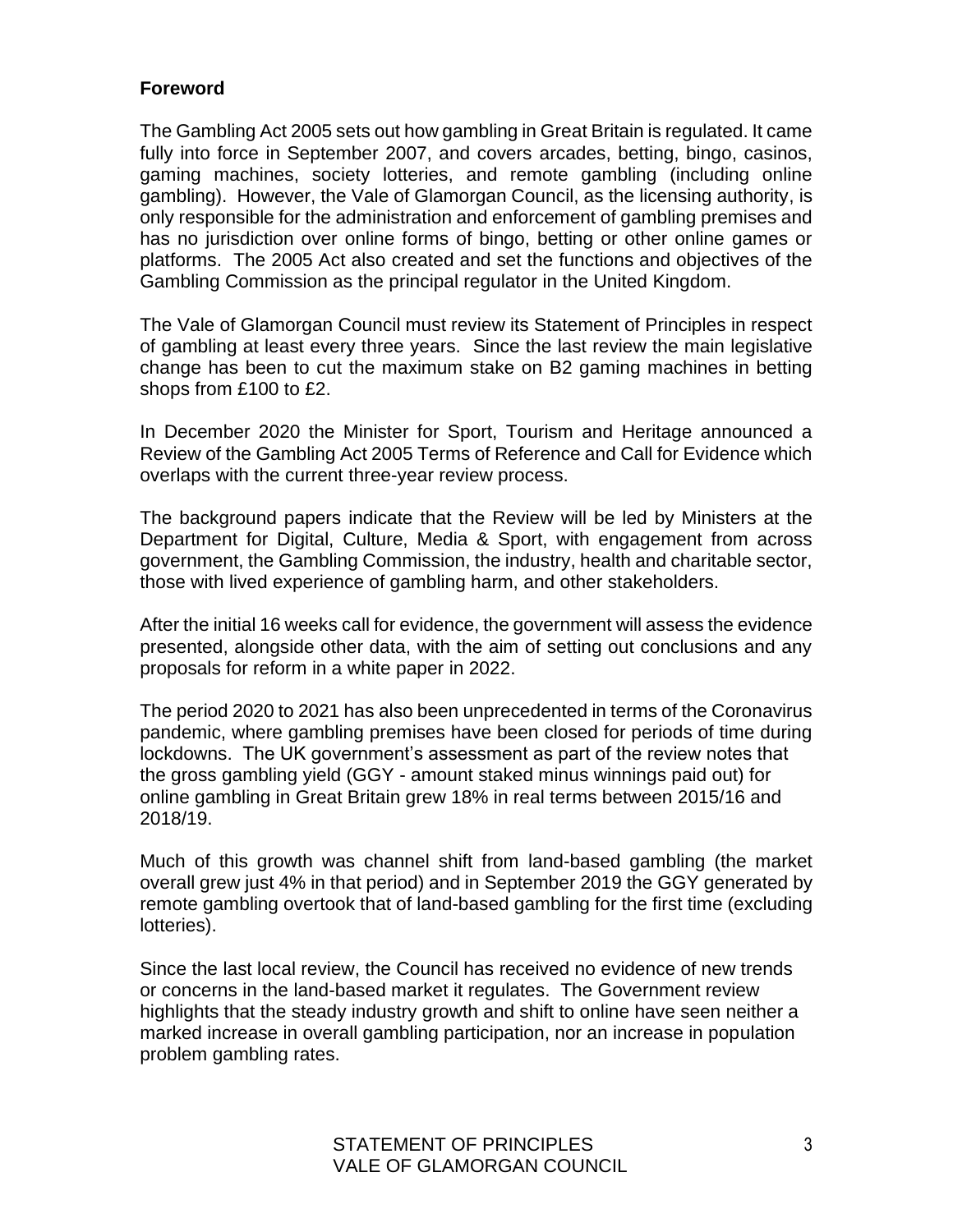## **Foreword**

The Gambling Act 2005 sets out how gambling in Great Britain is regulated. It came fully into force in September 2007, and covers arcades, betting, bingo, casinos, gaming machines, society lotteries, and remote gambling (including online gambling). However, the Vale of Glamorgan Council, as the licensing authority, is only responsible for the administration and enforcement of gambling premises and has no jurisdiction over online forms of bingo, betting or other online games or platforms. The 2005 Act also created and set the functions and objectives of the Gambling Commission as the principal regulator in the United Kingdom.

The Vale of Glamorgan Council must review its Statement of Principles in respect of gambling at least every three years. Since the last review the main legislative change has been to cut the maximum stake on B2 gaming machines in betting shops from £100 to £2.

In December 2020 the Minister for Sport, Tourism and Heritage announced a Review of the Gambling Act 2005 Terms of Reference and Call for Evidence which overlaps with the current three-year review process.

The background papers indicate that the Review will be led by Ministers at the Department for Digital, Culture, Media & Sport, with engagement from across government, the Gambling Commission, the industry, health and charitable sector, those with lived experience of gambling harm, and other stakeholders.

After the initial 16 weeks call for evidence, the government will assess the evidence presented, alongside other data, with the aim of setting out conclusions and any proposals for reform in a white paper in 2022.

The period 2020 to 2021 has also been unprecedented in terms of the Coronavirus pandemic, where gambling premises have been closed for periods of time during lockdowns. The UK government's assessment as part of the review notes that the gross gambling yield (GGY - amount staked minus winnings paid out) for online gambling in Great Britain grew 18% in real terms between 2015/16 and 2018/19.

Much of this growth was channel shift from land-based gambling (the market overall grew just 4% in that period) and in September 2019 the GGY generated by remote gambling overtook that of land-based gambling for the first time (excluding lotteries).

Since the last local review, the Council has received no evidence of new trends or concerns in the land-based market it regulates. The Government review highlights that the steady industry growth and shift to online have seen neither a marked increase in overall gambling participation, nor an increase in population problem gambling rates.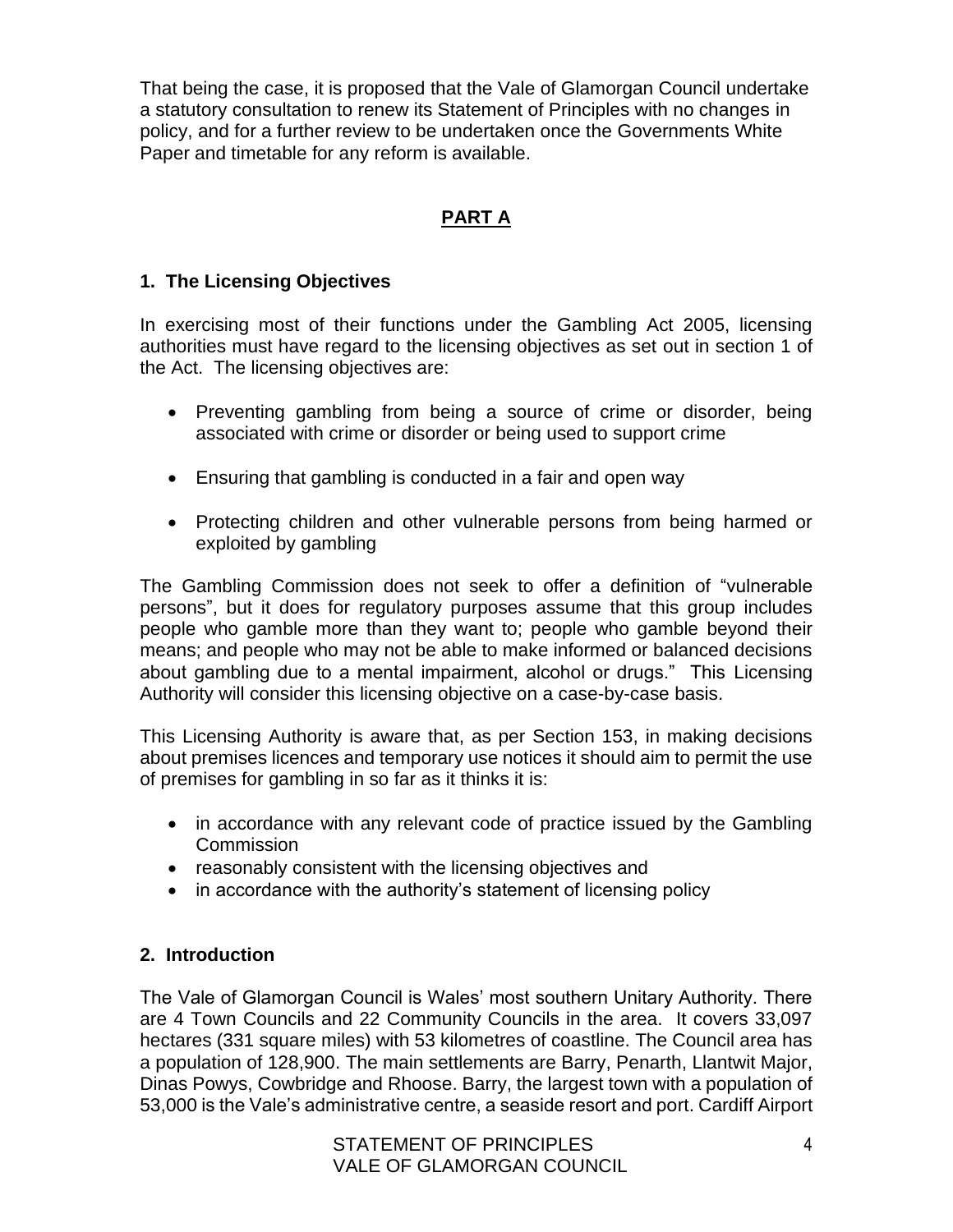That being the case, it is proposed that the Vale of Glamorgan Council undertake a statutory consultation to renew its Statement of Principles with no changes in policy, and for a further review to be undertaken once the Governments White Paper and timetable for any reform is available.

# **PART A**

## **1. The Licensing Objectives**

In exercising most of their functions under the Gambling Act 2005, licensing authorities must have regard to the licensing objectives as set out in section 1 of the Act. The licensing objectives are:

- Preventing gambling from being a source of crime or disorder, being associated with crime or disorder or being used to support crime
- Ensuring that gambling is conducted in a fair and open way
- Protecting children and other vulnerable persons from being harmed or exploited by gambling

The Gambling Commission does not seek to offer a definition of "vulnerable persons", but it does for regulatory purposes assume that this group includes people who gamble more than they want to; people who gamble beyond their means; and people who may not be able to make informed or balanced decisions about gambling due to a mental impairment, alcohol or drugs." This Licensing Authority will consider this licensing objective on a case-by-case basis.

This Licensing Authority is aware that, as per Section 153, in making decisions about premises licences and temporary use notices it should aim to permit the use of premises for gambling in so far as it thinks it is:

- in accordance with any relevant code of practice issued by the Gambling **Commission**
- reasonably consistent with the licensing objectives and
- in accordance with the authority's statement of licensing policy

# **2. Introduction**

The Vale of Glamorgan Council is Wales' most southern Unitary Authority. There are 4 Town Councils and 22 Community Councils in the area. It covers 33,097 hectares (331 square miles) with 53 kilometres of coastline. The Council area has a population of 128,900. The main settlements are Barry, Penarth, Llantwit Major, Dinas Powys, Cowbridge and Rhoose. Barry, the largest town with a population of 53,000 is the Vale's administrative centre, a seaside resort and port. Cardiff Airport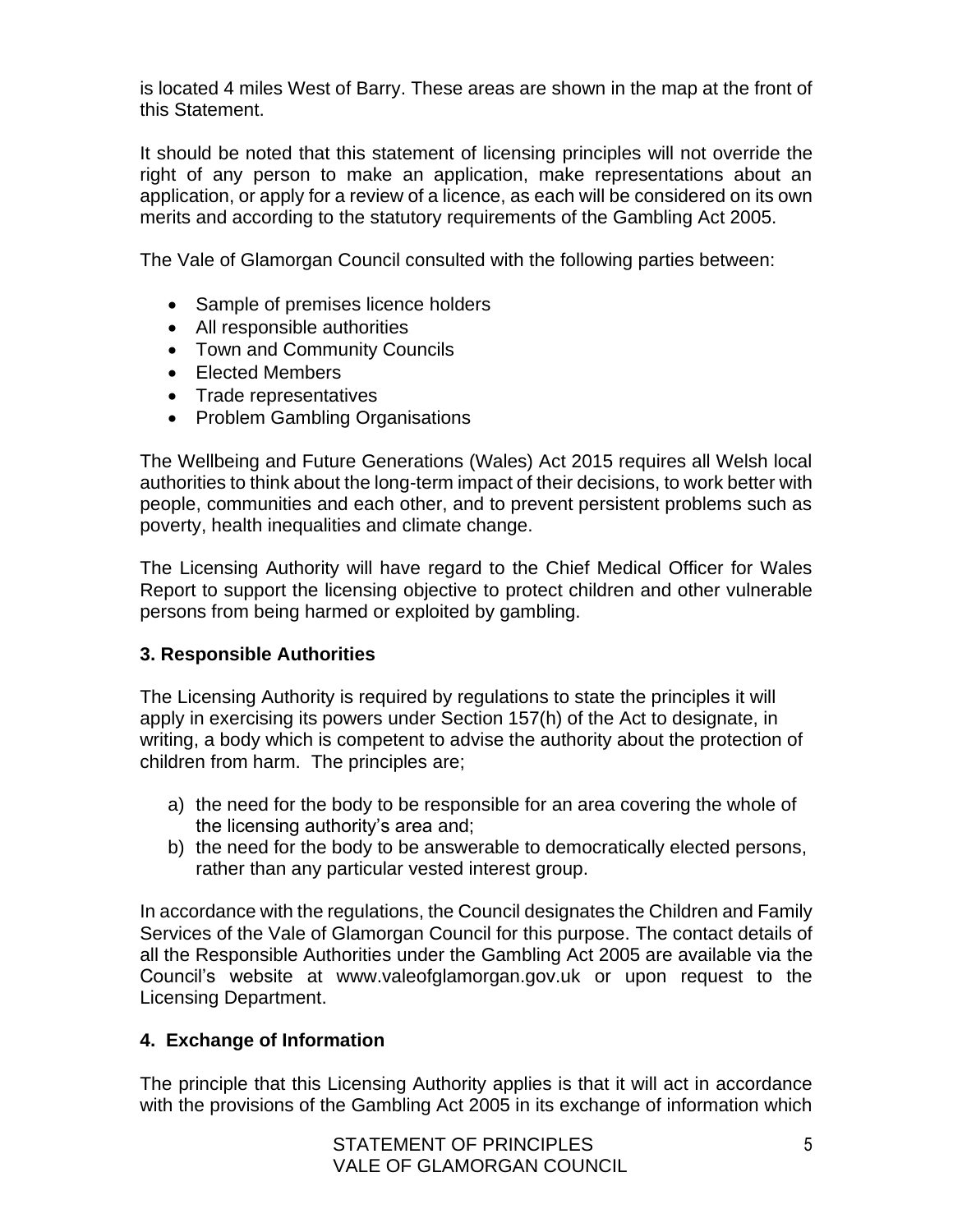is located 4 miles West of Barry. These areas are shown in the map at the front of this Statement.

It should be noted that this statement of licensing principles will not override the right of any person to make an application, make representations about an application, or apply for a review of a licence, as each will be considered on its own merits and according to the statutory requirements of the Gambling Act 2005.

The Vale of Glamorgan Council consulted with the following parties between:

- Sample of premises licence holders
- All responsible authorities
- Town and Community Councils
- Elected Members
- Trade representatives
- Problem Gambling Organisations

The Wellbeing and Future Generations (Wales) Act 2015 requires all Welsh local authorities to think about the long-term impact of their decisions, to work better with people, communities and each other, and to prevent persistent problems such as poverty, health inequalities and climate change.

The Licensing Authority will have regard to the Chief Medical Officer for Wales Report to support the licensing objective to protect children and other vulnerable persons from being harmed or exploited by gambling.

#### **3. Responsible Authorities**

The Licensing Authority is required by regulations to state the principles it will apply in exercising its powers under Section 157(h) of the Act to designate, in writing, a body which is competent to advise the authority about the protection of children from harm. The principles are;

- a) the need for the body to be responsible for an area covering the whole of the licensing authority's area and;
- b) the need for the body to be answerable to democratically elected persons, rather than any particular vested interest group.

In accordance with the regulations, the Council designates the Children and Family Services of the Vale of Glamorgan Council for this purpose. The contact details of all the Responsible Authorities under the Gambling Act 2005 are available via the Council's website at www.valeofglamorgan.gov.uk or upon request to the Licensing Department.

## **4. Exchange of Information**

The principle that this Licensing Authority applies is that it will act in accordance with the provisions of the Gambling Act 2005 in its exchange of information which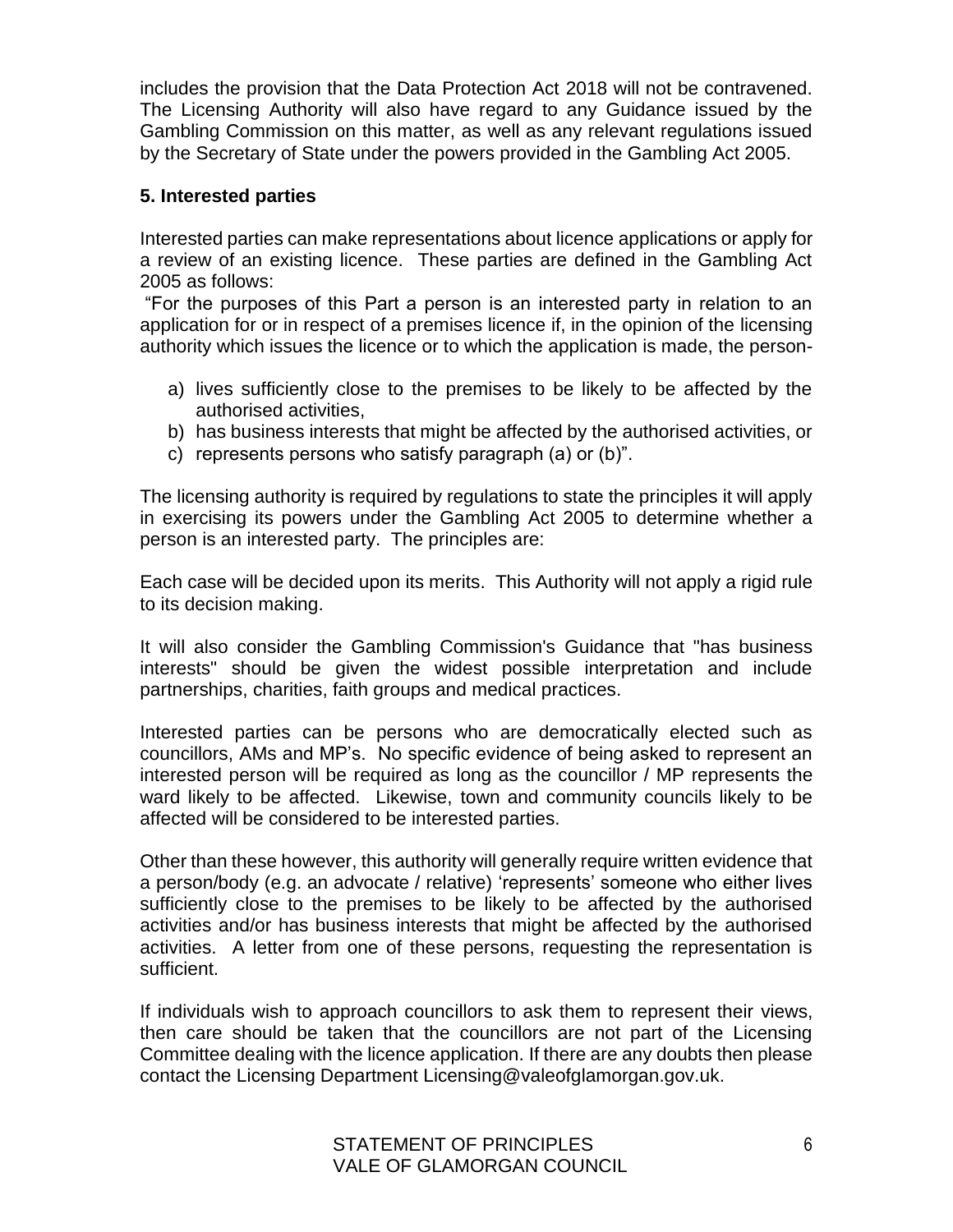includes the provision that the Data Protection Act 2018 will not be contravened. The Licensing Authority will also have regard to any Guidance issued by the Gambling Commission on this matter, as well as any relevant regulations issued by the Secretary of State under the powers provided in the Gambling Act 2005.

## **5. Interested parties**

Interested parties can make representations about licence applications or apply for a review of an existing licence. These parties are defined in the Gambling Act 2005 as follows:

"For the purposes of this Part a person is an interested party in relation to an application for or in respect of a premises licence if, in the opinion of the licensing authority which issues the licence or to which the application is made, the person-

- a) lives sufficiently close to the premises to be likely to be affected by the authorised activities,
- b) has business interests that might be affected by the authorised activities, or
- c) represents persons who satisfy paragraph (a) or (b)".

The licensing authority is required by regulations to state the principles it will apply in exercising its powers under the Gambling Act 2005 to determine whether a person is an interested party. The principles are:

Each case will be decided upon its merits. This Authority will not apply a rigid rule to its decision making.

It will also consider the Gambling Commission's Guidance that "has business interests" should be given the widest possible interpretation and include partnerships, charities, faith groups and medical practices.

Interested parties can be persons who are democratically elected such as councillors, AMs and MP's. No specific evidence of being asked to represent an interested person will be required as long as the councillor / MP represents the ward likely to be affected. Likewise, town and community councils likely to be affected will be considered to be interested parties.

Other than these however, this authority will generally require written evidence that a person/body (e.g. an advocate / relative) 'represents' someone who either lives sufficiently close to the premises to be likely to be affected by the authorised activities and/or has business interests that might be affected by the authorised activities. A letter from one of these persons, requesting the representation is sufficient.

If individuals wish to approach councillors to ask them to represent their views, then care should be taken that the councillors are not part of the Licensing Committee dealing with the licence application. If there are any doubts then please contact the Licensing Department Licensing@valeofglamorgan.gov.uk.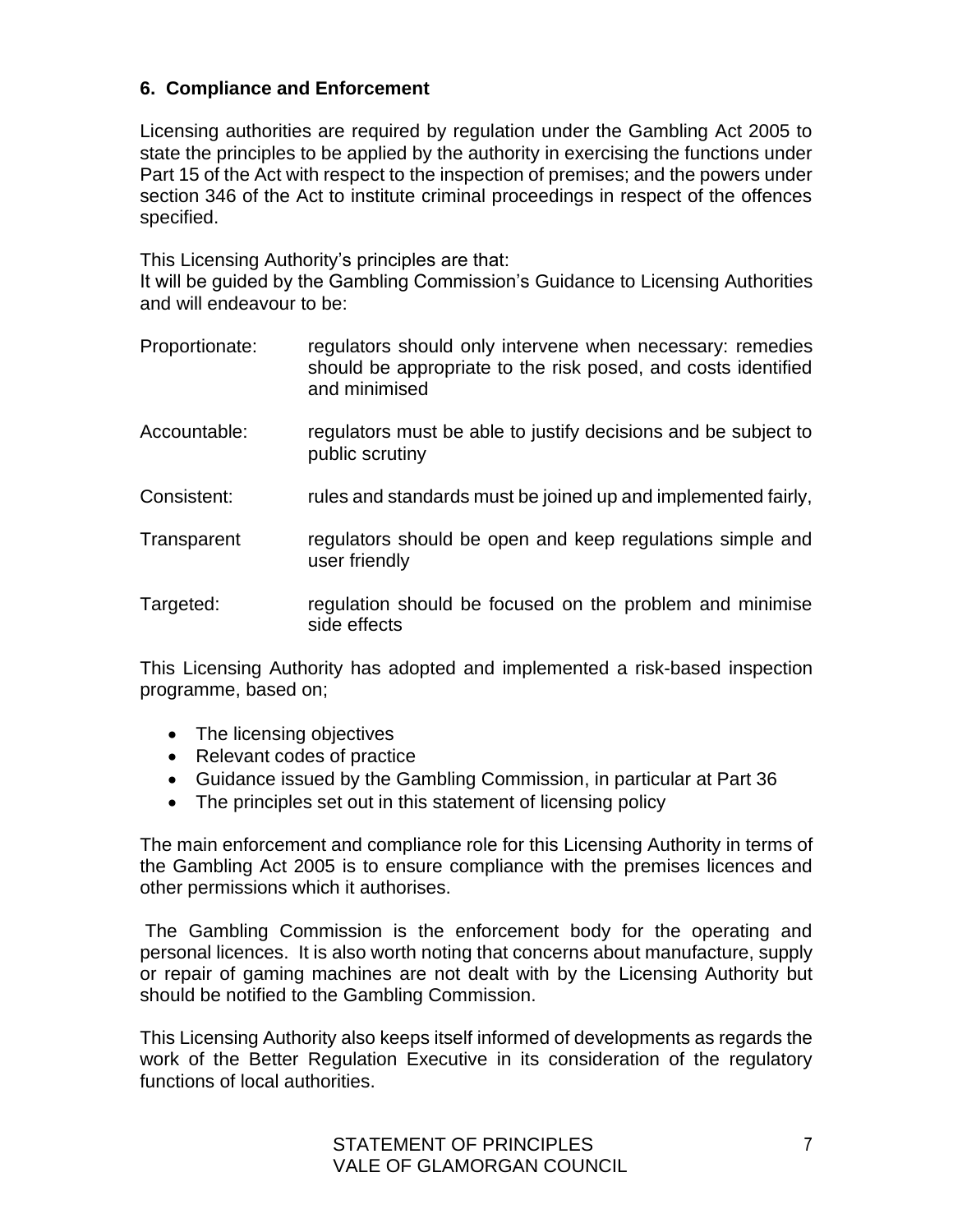## **6. Compliance and Enforcement**

Licensing authorities are required by regulation under the Gambling Act 2005 to state the principles to be applied by the authority in exercising the functions under Part 15 of the Act with respect to the inspection of premises; and the powers under section 346 of the Act to institute criminal proceedings in respect of the offences specified.

This Licensing Authority's principles are that:

It will be guided by the Gambling Commission's Guidance to Licensing Authorities and will endeavour to be:

- Proportionate: regulators should only intervene when necessary: remedies should be appropriate to the risk posed, and costs identified and minimised
- Accountable: regulators must be able to justify decisions and be subject to public scrutiny
- Consistent: rules and standards must be joined up and implemented fairly,
- Transparent regulators should be open and keep regulations simple and user friendly
- Targeted: regulation should be focused on the problem and minimise side effects

This Licensing Authority has adopted and implemented a risk-based inspection programme, based on;

- The licensing objectives
- Relevant codes of practice
- Guidance issued by the Gambling Commission, in particular at Part 36
- The principles set out in this statement of licensing policy

The main enforcement and compliance role for this Licensing Authority in terms of the Gambling Act 2005 is to ensure compliance with the premises licences and other permissions which it authorises.

The Gambling Commission is the enforcement body for the operating and personal licences. It is also worth noting that concerns about manufacture, supply or repair of gaming machines are not dealt with by the Licensing Authority but should be notified to the Gambling Commission.

This Licensing Authority also keeps itself informed of developments as regards the work of the Better Regulation Executive in its consideration of the regulatory functions of local authorities.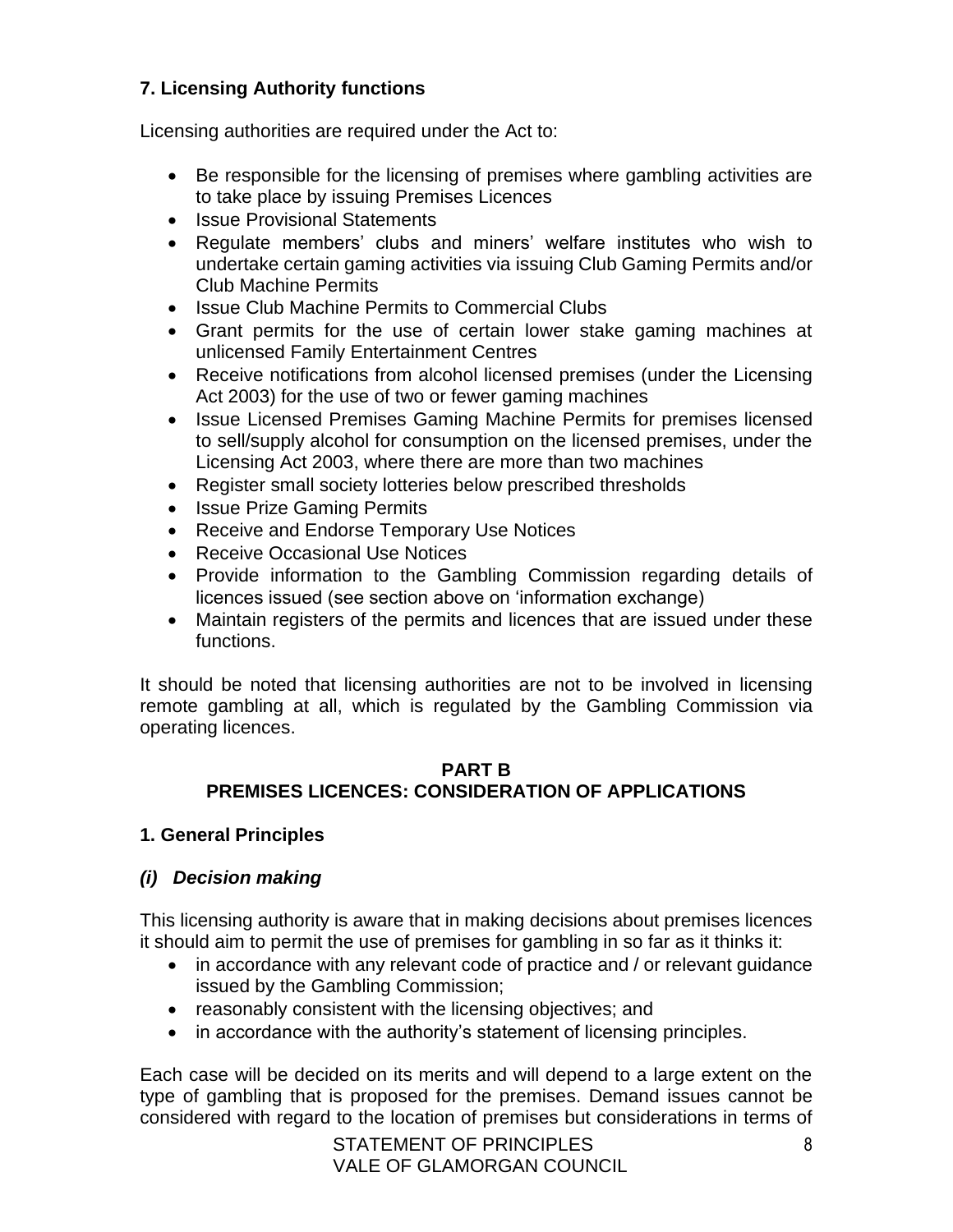# **7. Licensing Authority functions**

Licensing authorities are required under the Act to:

- Be responsible for the licensing of premises where gambling activities are to take place by issuing Premises Licences
- Issue Provisional Statements
- Regulate members' clubs and miners' welfare institutes who wish to undertake certain gaming activities via issuing Club Gaming Permits and/or Club Machine Permits
- Issue Club Machine Permits to Commercial Clubs
- Grant permits for the use of certain lower stake gaming machines at unlicensed Family Entertainment Centres
- Receive notifications from alcohol licensed premises (under the Licensing Act 2003) for the use of two or fewer gaming machines
- Issue Licensed Premises Gaming Machine Permits for premises licensed to sell/supply alcohol for consumption on the licensed premises, under the Licensing Act 2003, where there are more than two machines
- Register small society lotteries below prescribed thresholds
- Issue Prize Gaming Permits
- Receive and Endorse Temporary Use Notices
- Receive Occasional Use Notices
- Provide information to the Gambling Commission regarding details of licences issued (see section above on 'information exchange)
- Maintain registers of the permits and licences that are issued under these functions.

It should be noted that licensing authorities are not to be involved in licensing remote gambling at all, which is regulated by the Gambling Commission via operating licences.

#### **PART B PREMISES LICENCES: CONSIDERATION OF APPLICATIONS**

#### **1. General Principles**

## *(i) Decision making*

This licensing authority is aware that in making decisions about premises licences it should aim to permit the use of premises for gambling in so far as it thinks it:

- in accordance with any relevant code of practice and / or relevant quidance issued by the Gambling Commission;
- reasonably consistent with the licensing objectives; and
- in accordance with the authority's statement of licensing principles.

Each case will be decided on its merits and will depend to a large extent on the type of gambling that is proposed for the premises. Demand issues cannot be considered with regard to the location of premises but considerations in terms of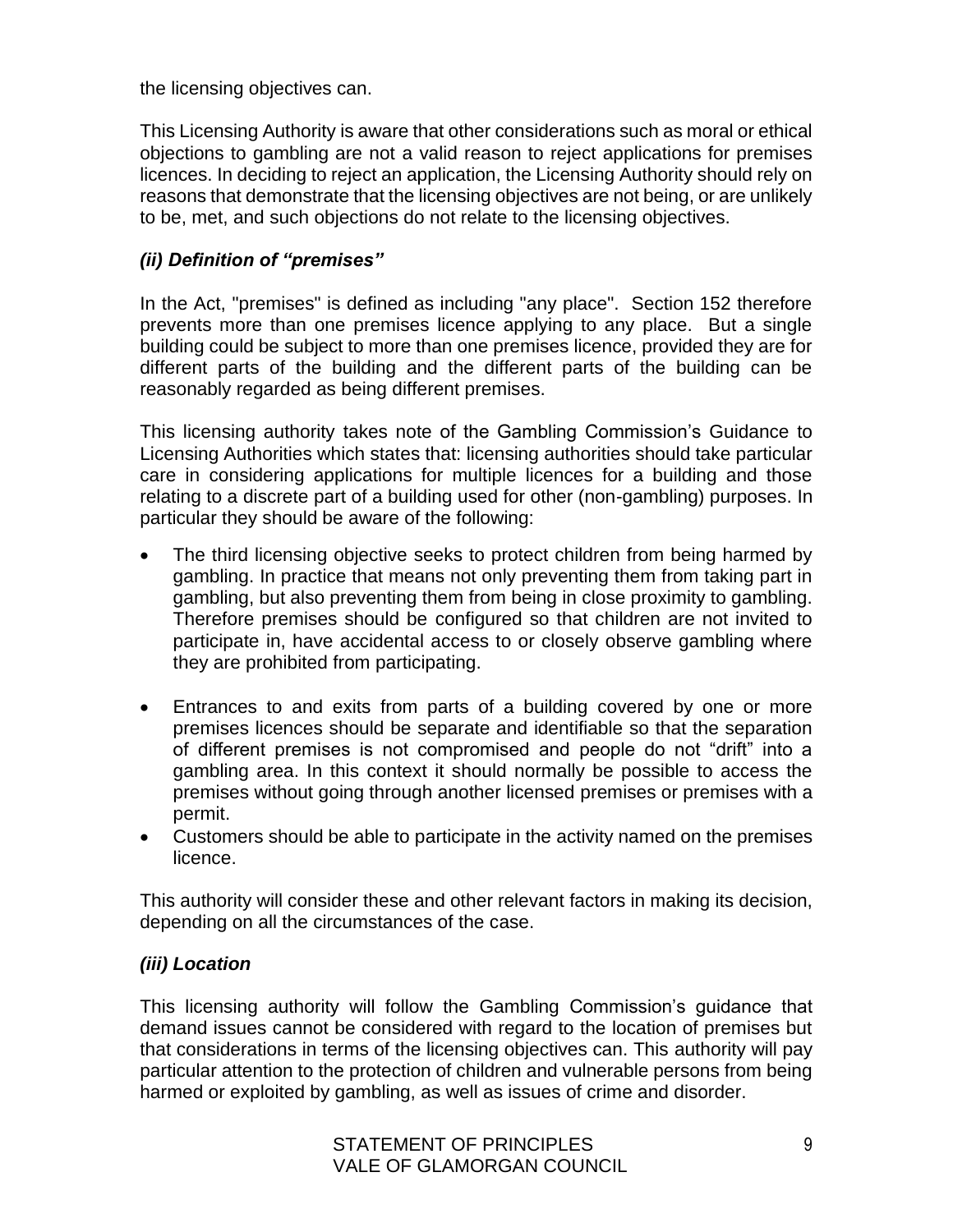the licensing objectives can.

This Licensing Authority is aware that other considerations such as moral or ethical objections to gambling are not a valid reason to reject applications for premises licences. In deciding to reject an application, the Licensing Authority should rely on reasons that demonstrate that the licensing objectives are not being, or are unlikely to be, met, and such objections do not relate to the licensing objectives.

## *(ii) Definition of "premises"*

In the Act, "premises" is defined as including "any place". Section 152 therefore prevents more than one premises licence applying to any place. But a single building could be subject to more than one premises licence, provided they are for different parts of the building and the different parts of the building can be reasonably regarded as being different premises.

This licensing authority takes note of the Gambling Commission's Guidance to Licensing Authorities which states that: licensing authorities should take particular care in considering applications for multiple licences for a building and those relating to a discrete part of a building used for other (non-gambling) purposes. In particular they should be aware of the following:

- The third licensing objective seeks to protect children from being harmed by gambling. In practice that means not only preventing them from taking part in gambling, but also preventing them from being in close proximity to gambling. Therefore premises should be configured so that children are not invited to participate in, have accidental access to or closely observe gambling where they are prohibited from participating.
- Entrances to and exits from parts of a building covered by one or more premises licences should be separate and identifiable so that the separation of different premises is not compromised and people do not "drift" into a gambling area. In this context it should normally be possible to access the premises without going through another licensed premises or premises with a permit.
- Customers should be able to participate in the activity named on the premises licence.

This authority will consider these and other relevant factors in making its decision, depending on all the circumstances of the case.

## *(iii) Location*

This licensing authority will follow the Gambling Commission's guidance that demand issues cannot be considered with regard to the location of premises but that considerations in terms of the licensing objectives can. This authority will pay particular attention to the protection of children and vulnerable persons from being harmed or exploited by gambling, as well as issues of crime and disorder.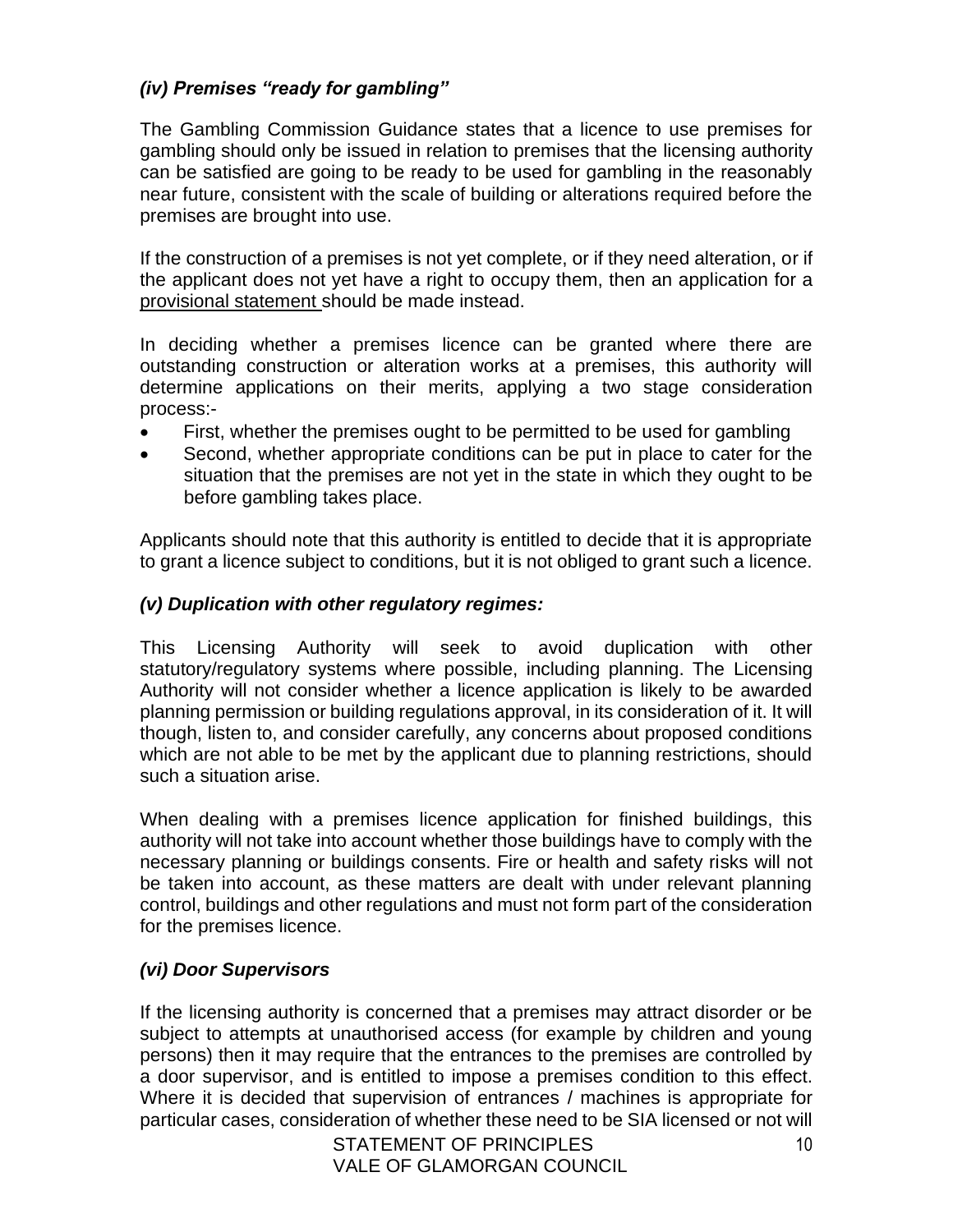## *(iv) Premises "ready for gambling"*

The Gambling Commission Guidance states that a licence to use premises for gambling should only be issued in relation to premises that the licensing authority can be satisfied are going to be ready to be used for gambling in the reasonably near future, consistent with the scale of building or alterations required before the premises are brought into use.

If the construction of a premises is not yet complete, or if they need alteration, or if the applicant does not yet have a right to occupy them, then an application for a provisional statement should be made instead.

In deciding whether a premises licence can be granted where there are outstanding construction or alteration works at a premises, this authority will determine applications on their merits, applying a two stage consideration process:-

- First, whether the premises ought to be permitted to be used for gambling
- Second, whether appropriate conditions can be put in place to cater for the situation that the premises are not yet in the state in which they ought to be before gambling takes place.

Applicants should note that this authority is entitled to decide that it is appropriate to grant a licence subject to conditions, but it is not obliged to grant such a licence.

## *(v) Duplication with other regulatory regimes:*

This Licensing Authority will seek to avoid duplication with other statutory/regulatory systems where possible, including planning. The Licensing Authority will not consider whether a licence application is likely to be awarded planning permission or building regulations approval, in its consideration of it. It will though, listen to, and consider carefully, any concerns about proposed conditions which are not able to be met by the applicant due to planning restrictions, should such a situation arise.

When dealing with a premises licence application for finished buildings, this authority will not take into account whether those buildings have to comply with the necessary planning or buildings consents. Fire or health and safety risks will not be taken into account, as these matters are dealt with under relevant planning control, buildings and other regulations and must not form part of the consideration for the premises licence.

# *(vi) Door Supervisors*

If the licensing authority is concerned that a premises may attract disorder or be subject to attempts at unauthorised access (for example by children and young persons) then it may require that the entrances to the premises are controlled by a door supervisor, and is entitled to impose a premises condition to this effect. Where it is decided that supervision of entrances / machines is appropriate for particular cases, consideration of whether these need to be SIA licensed or not will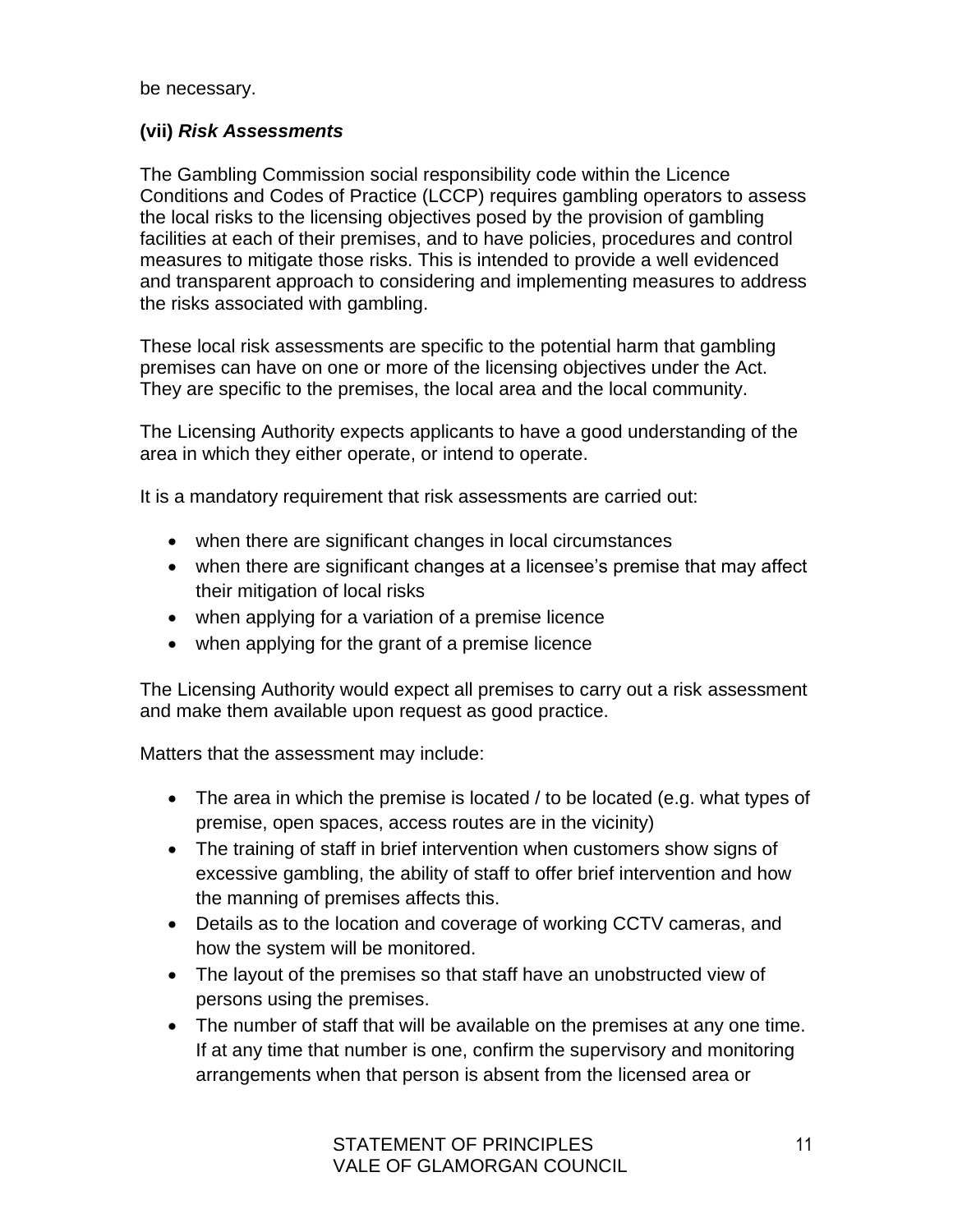be necessary.

## **(vii)** *Risk Assessments*

The Gambling Commission social responsibility code within the Licence Conditions and Codes of Practice (LCCP) requires gambling operators to assess the local risks to the licensing objectives posed by the provision of gambling facilities at each of their premises, and to have policies, procedures and control measures to mitigate those risks. This is intended to provide a well evidenced and transparent approach to considering and implementing measures to address the risks associated with gambling.

These local risk assessments are specific to the potential harm that gambling premises can have on one or more of the licensing objectives under the Act. They are specific to the premises, the local area and the local community.

The Licensing Authority expects applicants to have a good understanding of the area in which they either operate, or intend to operate.

It is a mandatory requirement that risk assessments are carried out:

- when there are significant changes in local circumstances
- when there are significant changes at a licensee's premise that may affect their mitigation of local risks
- when applying for a variation of a premise licence
- when applying for the grant of a premise licence

The Licensing Authority would expect all premises to carry out a risk assessment and make them available upon request as good practice.

Matters that the assessment may include:

- The area in which the premise is located / to be located (e.g. what types of premise, open spaces, access routes are in the vicinity)
- The training of staff in brief intervention when customers show signs of excessive gambling, the ability of staff to offer brief intervention and how the manning of premises affects this.
- Details as to the location and coverage of working CCTV cameras, and how the system will be monitored.
- The layout of the premises so that staff have an unobstructed view of persons using the premises.
- The number of staff that will be available on the premises at any one time. If at any time that number is one, confirm the supervisory and monitoring arrangements when that person is absent from the licensed area or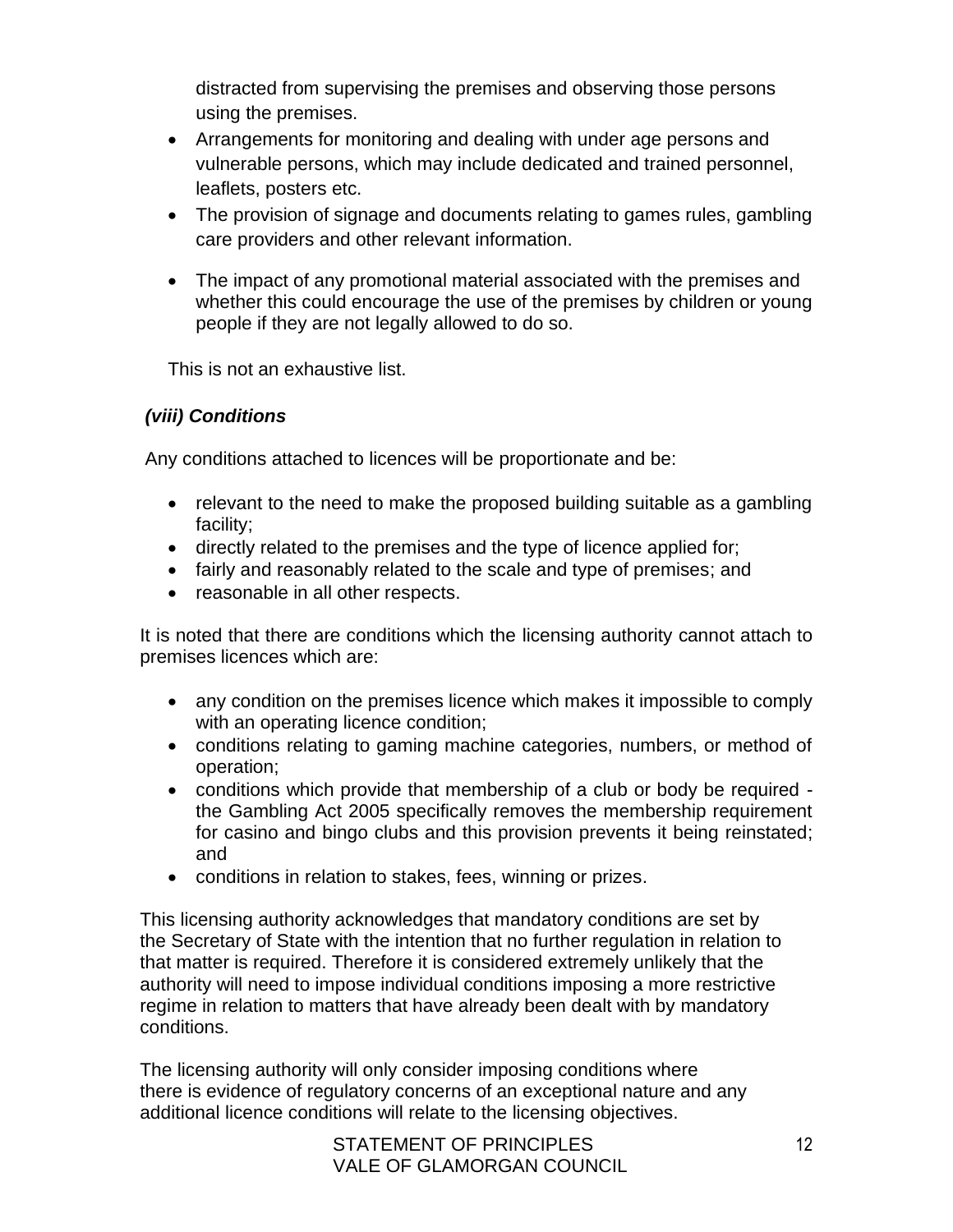distracted from supervising the premises and observing those persons using the premises.

- Arrangements for monitoring and dealing with under age persons and vulnerable persons, which may include dedicated and trained personnel, leaflets, posters etc.
- The provision of signage and documents relating to games rules, gambling care providers and other relevant information.
- The impact of any promotional material associated with the premises and whether this could encourage the use of the premises by children or young people if they are not legally allowed to do so.

This is not an exhaustive list.

## *(viii) Conditions*

Any conditions attached to licences will be proportionate and be:

- relevant to the need to make the proposed building suitable as a gambling facility;
- directly related to the premises and the type of licence applied for;
- fairly and reasonably related to the scale and type of premises; and
- reasonable in all other respects.

It is noted that there are conditions which the licensing authority cannot attach to premises licences which are:

- any condition on the premises licence which makes it impossible to comply with an operating licence condition;
- conditions relating to gaming machine categories, numbers, or method of operation;
- conditions which provide that membership of a club or body be required the Gambling Act 2005 specifically removes the membership requirement for casino and bingo clubs and this provision prevents it being reinstated; and
- conditions in relation to stakes, fees, winning or prizes.

This licensing authority acknowledges that mandatory conditions are set by the Secretary of State with the intention that no further regulation in relation to that matter is required. Therefore it is considered extremely unlikely that the authority will need to impose individual conditions imposing a more restrictive regime in relation to matters that have already been dealt with by mandatory conditions.

The licensing authority will only consider imposing conditions where there is evidence of regulatory concerns of an exceptional nature and any additional licence conditions will relate to the licensing objectives.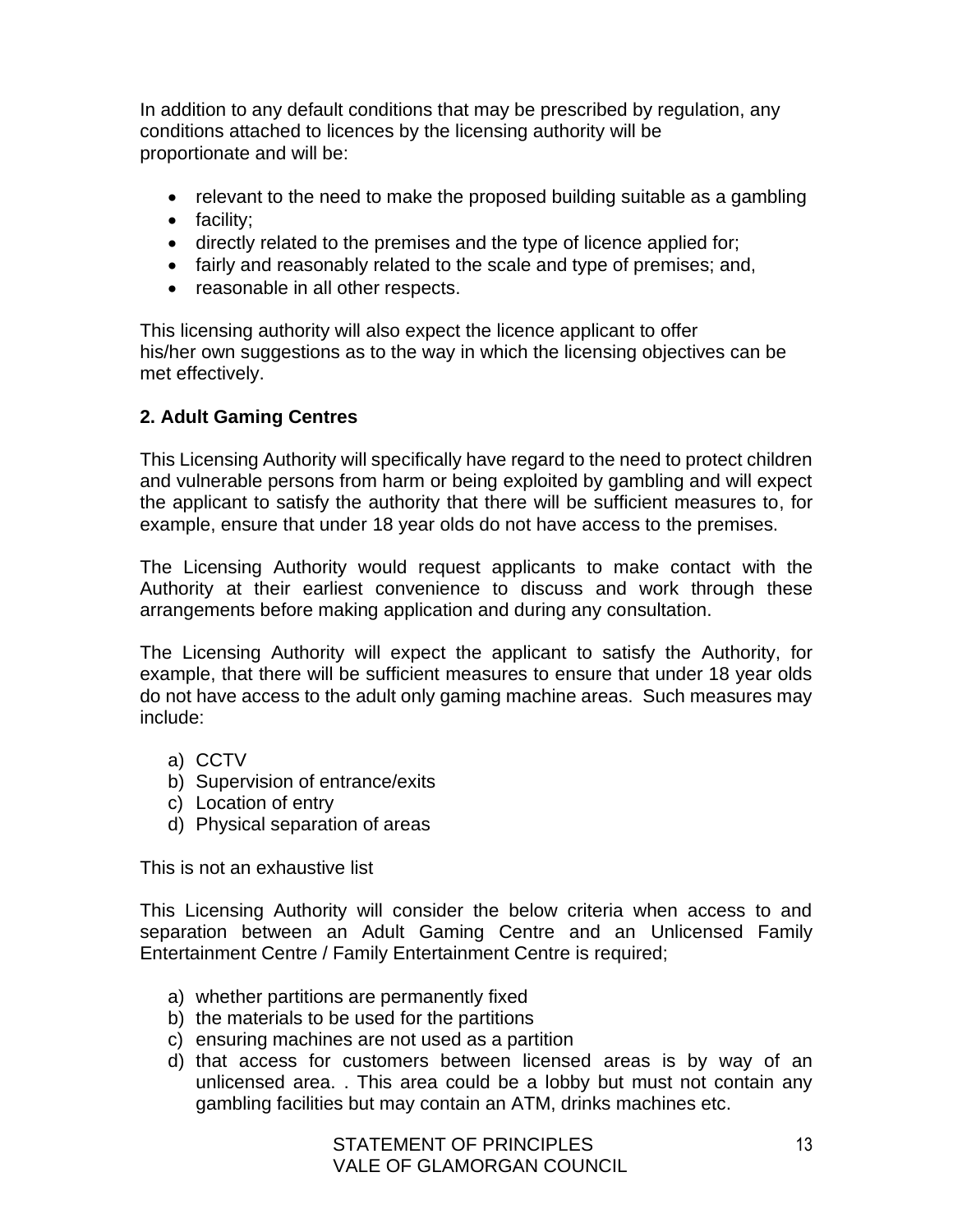In addition to any default conditions that may be prescribed by regulation, any conditions attached to licences by the licensing authority will be proportionate and will be:

- relevant to the need to make the proposed building suitable as a gambling
- facility;
- directly related to the premises and the type of licence applied for;
- fairly and reasonably related to the scale and type of premises; and,
- reasonable in all other respects.

This licensing authority will also expect the licence applicant to offer his/her own suggestions as to the way in which the licensing objectives can be met effectively.

#### **2. Adult Gaming Centres**

This Licensing Authority will specifically have regard to the need to protect children and vulnerable persons from harm or being exploited by gambling and will expect the applicant to satisfy the authority that there will be sufficient measures to, for example, ensure that under 18 year olds do not have access to the premises.

The Licensing Authority would request applicants to make contact with the Authority at their earliest convenience to discuss and work through these arrangements before making application and during any consultation.

The Licensing Authority will expect the applicant to satisfy the Authority, for example, that there will be sufficient measures to ensure that under 18 year olds do not have access to the adult only gaming machine areas. Such measures may include:

- a) CCTV
- b) Supervision of entrance/exits
- c) Location of entry
- d) Physical separation of areas

This is not an exhaustive list

This Licensing Authority will consider the below criteria when access to and separation between an Adult Gaming Centre and an Unlicensed Family Entertainment Centre / Family Entertainment Centre is required;

- a) whether partitions are permanently fixed
- b) the materials to be used for the partitions
- c) ensuring machines are not used as a partition
- d) that access for customers between licensed areas is by way of an unlicensed area. . This area could be a lobby but must not contain any gambling facilities but may contain an ATM, drinks machines etc.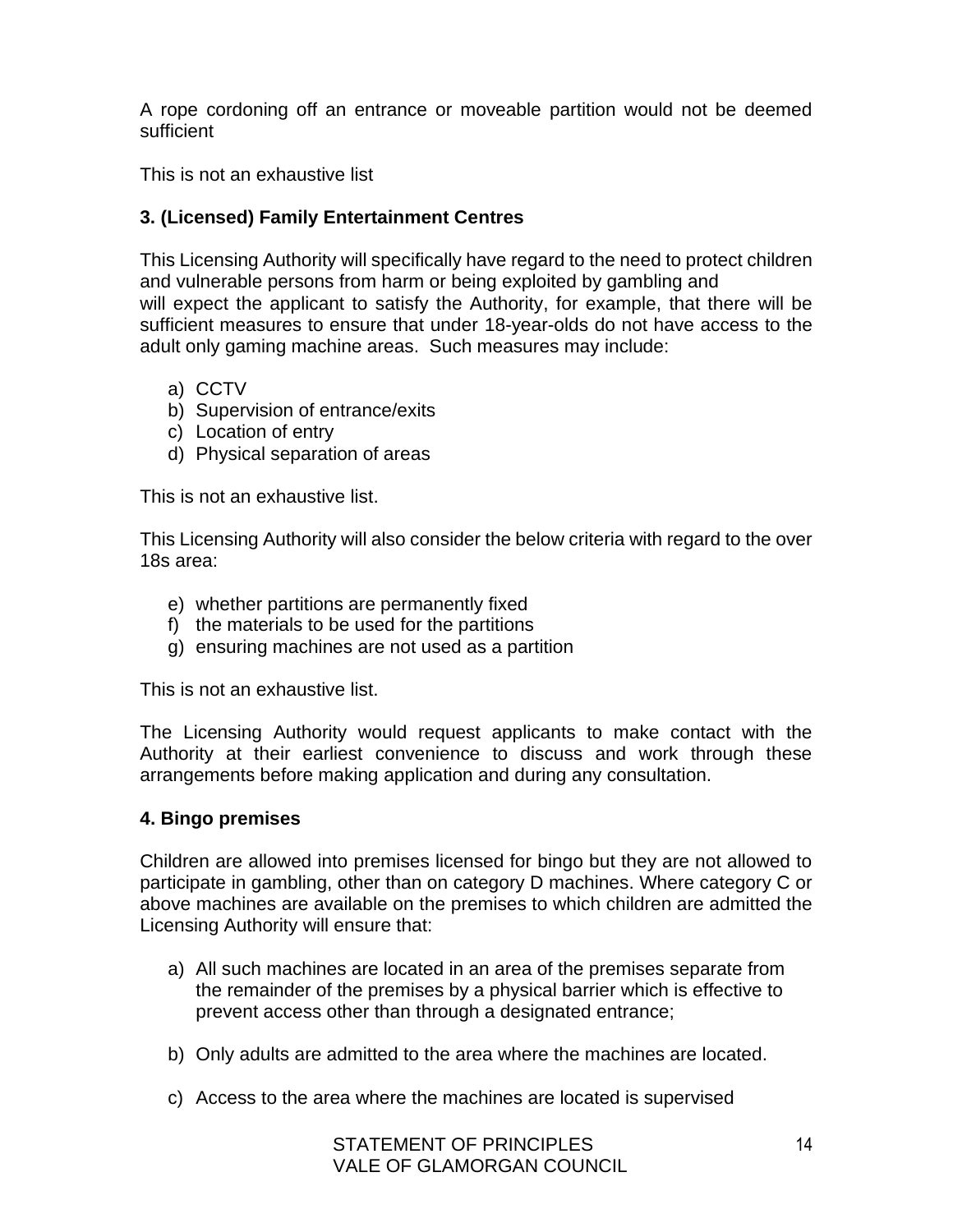A rope cordoning off an entrance or moveable partition would not be deemed sufficient

This is not an exhaustive list

# **3. (Licensed) Family Entertainment Centres**

This Licensing Authority will specifically have regard to the need to protect children and vulnerable persons from harm or being exploited by gambling and will expect the applicant to satisfy the Authority, for example, that there will be sufficient measures to ensure that under 18-year-olds do not have access to the adult only gaming machine areas. Such measures may include:

- a) CCTV
- b) Supervision of entrance/exits
- c) Location of entry
- d) Physical separation of areas

This is not an exhaustive list.

This Licensing Authority will also consider the below criteria with regard to the over 18s area:

- e) whether partitions are permanently fixed
- f) the materials to be used for the partitions
- g) ensuring machines are not used as a partition

This is not an exhaustive list.

The Licensing Authority would request applicants to make contact with the Authority at their earliest convenience to discuss and work through these arrangements before making application and during any consultation.

#### **4. Bingo premises**

Children are allowed into premises licensed for bingo but they are not allowed to participate in gambling, other than on category D machines. Where category C or above machines are available on the premises to which children are admitted the Licensing Authority will ensure that:

- a) All such machines are located in an area of the premises separate from the remainder of the premises by a physical barrier which is effective to prevent access other than through a designated entrance;
- b) Only adults are admitted to the area where the machines are located.
- c) Access to the area where the machines are located is supervised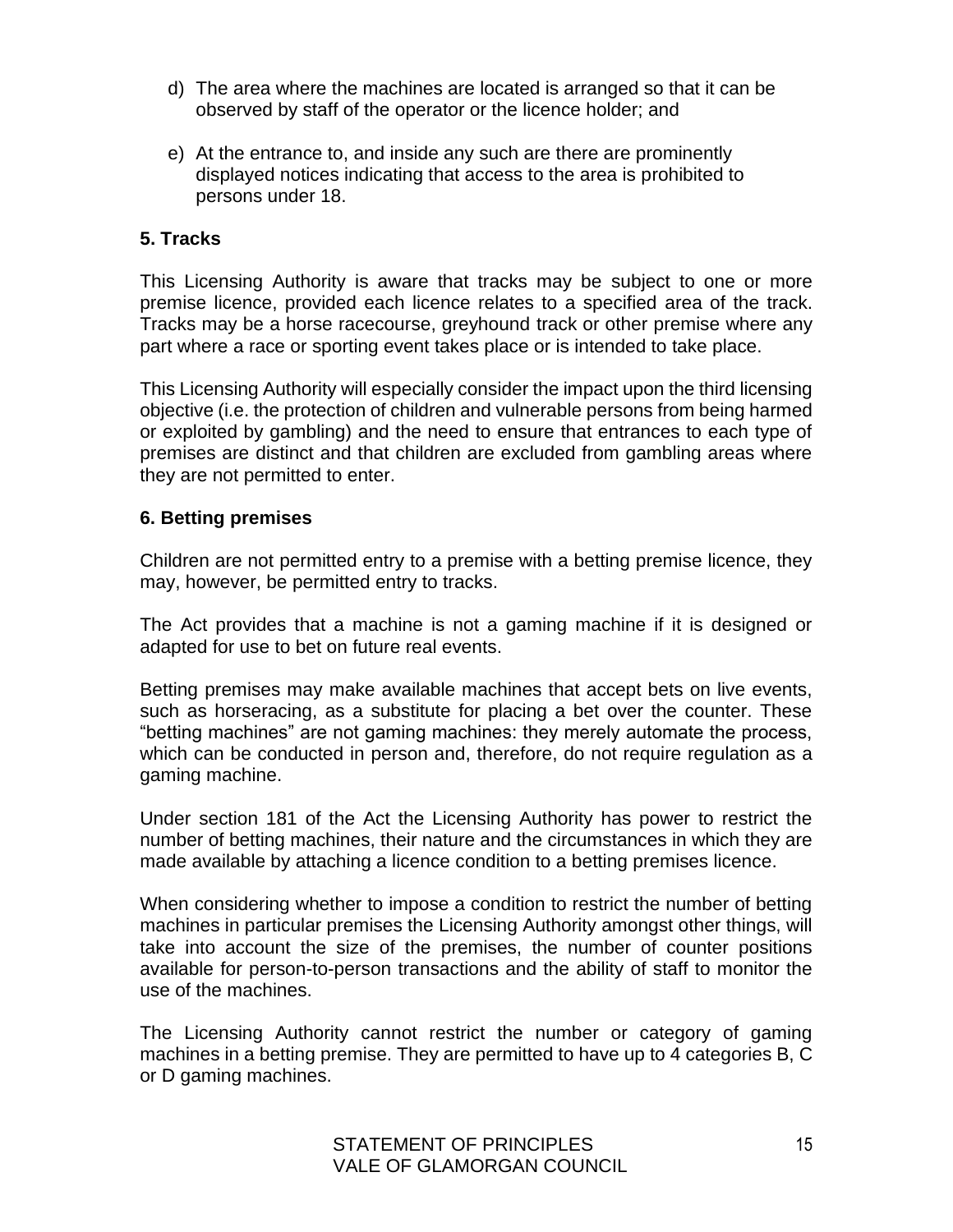- d) The area where the machines are located is arranged so that it can be observed by staff of the operator or the licence holder; and
- e) At the entrance to, and inside any such are there are prominently displayed notices indicating that access to the area is prohibited to persons under 18.

#### **5. Tracks**

This Licensing Authority is aware that tracks may be subject to one or more premise licence, provided each licence relates to a specified area of the track. Tracks may be a horse racecourse, greyhound track or other premise where any part where a race or sporting event takes place or is intended to take place.

This Licensing Authority will especially consider the impact upon the third licensing objective (i.e. the protection of children and vulnerable persons from being harmed or exploited by gambling) and the need to ensure that entrances to each type of premises are distinct and that children are excluded from gambling areas where they are not permitted to enter.

#### **6. Betting premises**

Children are not permitted entry to a premise with a betting premise licence, they may, however, be permitted entry to tracks.

The Act provides that a machine is not a gaming machine if it is designed or adapted for use to bet on future real events.

Betting premises may make available machines that accept bets on live events, such as horseracing, as a substitute for placing a bet over the counter. These "betting machines" are not gaming machines: they merely automate the process, which can be conducted in person and, therefore, do not require regulation as a gaming machine.

Under section 181 of the Act the Licensing Authority has power to restrict the number of betting machines, their nature and the circumstances in which they are made available by attaching a licence condition to a betting premises licence.

When considering whether to impose a condition to restrict the number of betting machines in particular premises the Licensing Authority amongst other things, will take into account the size of the premises, the number of counter positions available for person-to-person transactions and the ability of staff to monitor the use of the machines.

The Licensing Authority cannot restrict the number or category of gaming machines in a betting premise. They are permitted to have up to 4 categories B, C or D gaming machines.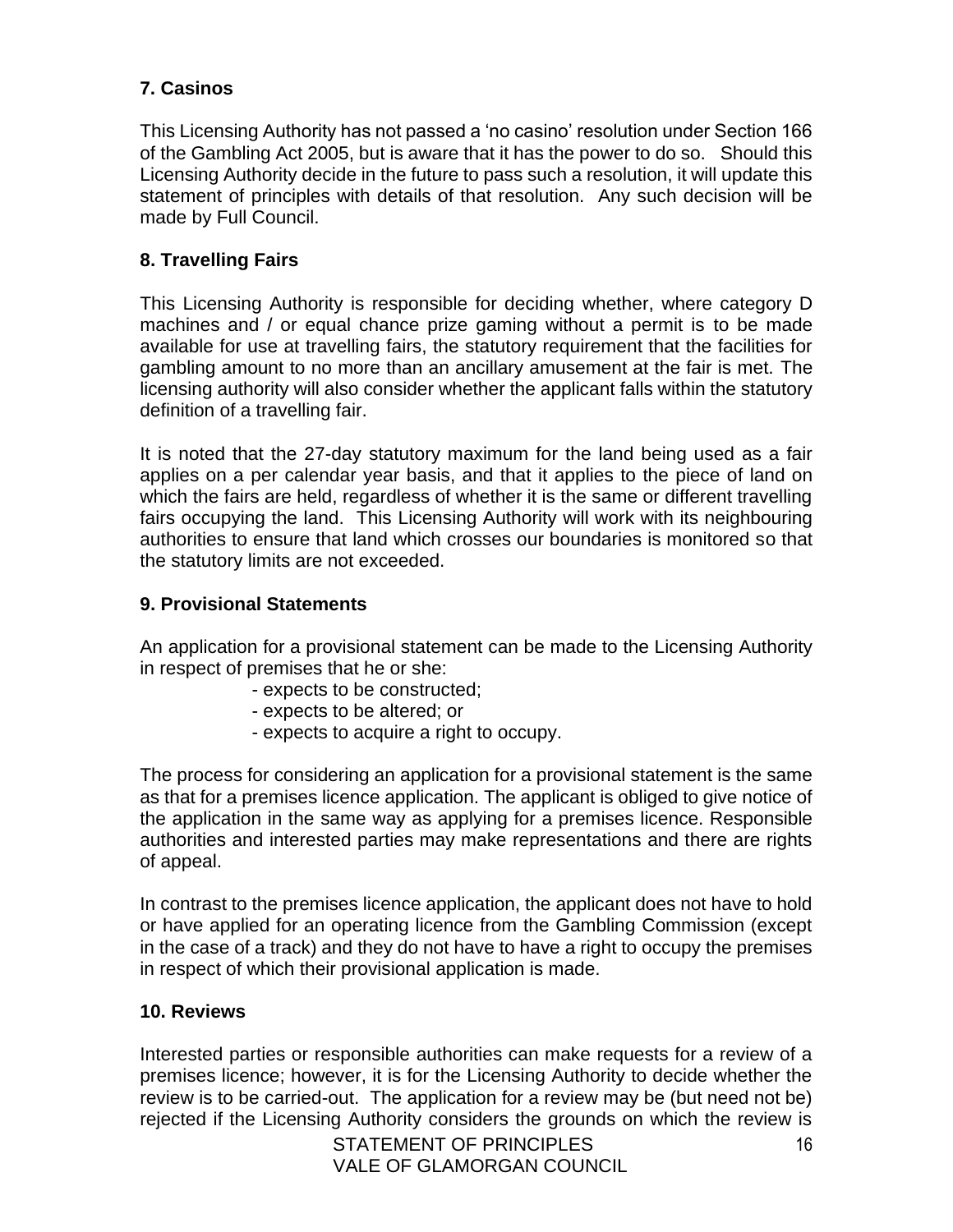# **7. Casinos**

This Licensing Authority has not passed a 'no casino' resolution under Section 166 of the Gambling Act 2005, but is aware that it has the power to do so. Should this Licensing Authority decide in the future to pass such a resolution, it will update this statement of principles with details of that resolution. Any such decision will be made by Full Council.

## **8. Travelling Fairs**

This Licensing Authority is responsible for deciding whether, where category D machines and / or equal chance prize gaming without a permit is to be made available for use at travelling fairs, the statutory requirement that the facilities for gambling amount to no more than an ancillary amusement at the fair is met. The licensing authority will also consider whether the applicant falls within the statutory definition of a travelling fair.

It is noted that the 27-day statutory maximum for the land being used as a fair applies on a per calendar year basis, and that it applies to the piece of land on which the fairs are held, regardless of whether it is the same or different travelling fairs occupying the land. This Licensing Authority will work with its neighbouring authorities to ensure that land which crosses our boundaries is monitored so that the statutory limits are not exceeded.

## **9. Provisional Statements**

An application for a provisional statement can be made to the Licensing Authority in respect of premises that he or she:

- expects to be constructed;
- expects to be altered; or
- expects to acquire a right to occupy.

The process for considering an application for a provisional statement is the same as that for a premises licence application. The applicant is obliged to give notice of the application in the same way as applying for a premises licence. Responsible authorities and interested parties may make representations and there are rights of appeal.

In contrast to the premises licence application, the applicant does not have to hold or have applied for an operating licence from the Gambling Commission (except in the case of a track) and they do not have to have a right to occupy the premises in respect of which their provisional application is made.

#### **10. Reviews**

Interested parties or responsible authorities can make requests for a review of a premises licence; however, it is for the Licensing Authority to decide whether the review is to be carried-out. The application for a review may be (but need not be) rejected if the Licensing Authority considers the grounds on which the review is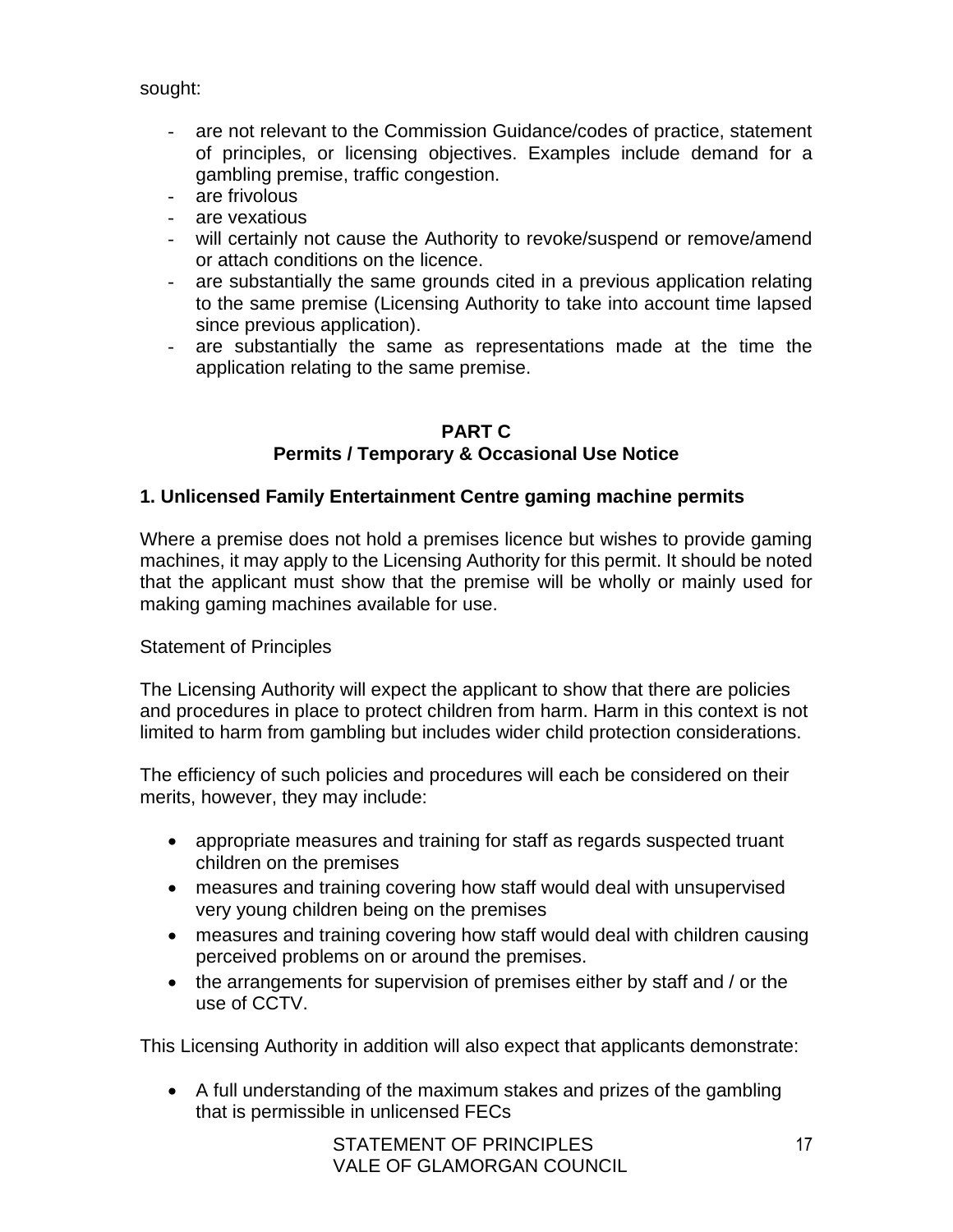sought:

- are not relevant to the Commission Guidance/codes of practice, statement of principles, or licensing objectives. Examples include demand for a gambling premise, traffic congestion.
- are frivolous
- are vexatious
- will certainly not cause the Authority to revoke/suspend or remove/amend or attach conditions on the licence.
- are substantially the same grounds cited in a previous application relating to the same premise (Licensing Authority to take into account time lapsed since previous application).
- are substantially the same as representations made at the time the application relating to the same premise.

#### **PART C Permits / Temporary & Occasional Use Notice**

#### **1. Unlicensed Family Entertainment Centre gaming machine permits**

Where a premise does not hold a premises licence but wishes to provide gaming machines, it may apply to the Licensing Authority for this permit. It should be noted that the applicant must show that the premise will be wholly or mainly used for making gaming machines available for use.

#### Statement of Principles

The Licensing Authority will expect the applicant to show that there are policies and procedures in place to protect children from harm. Harm in this context is not limited to harm from gambling but includes wider child protection considerations.

The efficiency of such policies and procedures will each be considered on their merits, however, they may include:

- appropriate measures and training for staff as regards suspected truant children on the premises
- measures and training covering how staff would deal with unsupervised very young children being on the premises
- measures and training covering how staff would deal with children causing perceived problems on or around the premises.
- the arrangements for supervision of premises either by staff and / or the use of CCTV.

This Licensing Authority in addition will also expect that applicants demonstrate:

• A full understanding of the maximum stakes and prizes of the gambling that is permissible in unlicensed FECs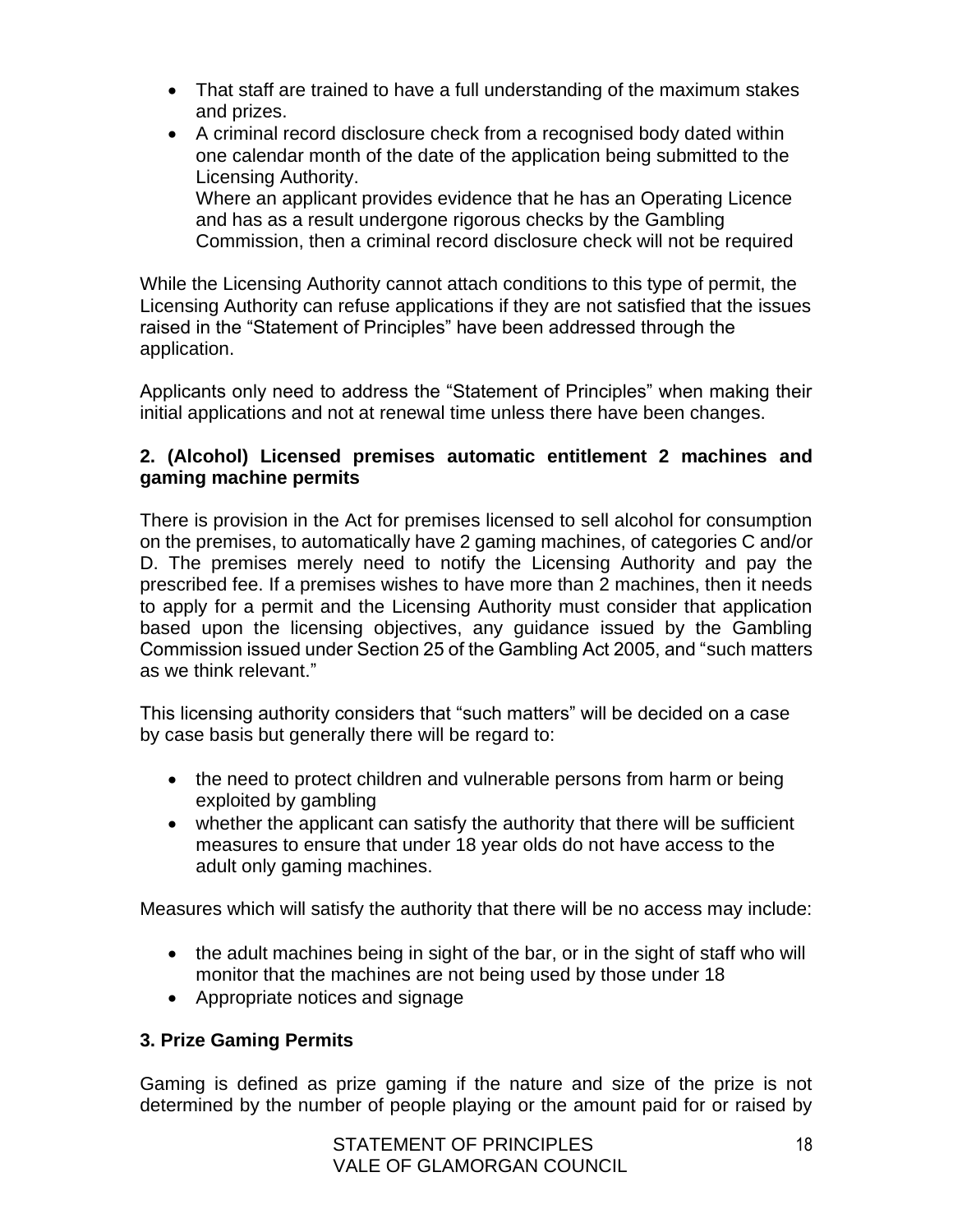- That staff are trained to have a full understanding of the maximum stakes and prizes.
- A criminal record disclosure check from a recognised body dated within one calendar month of the date of the application being submitted to the Licensing Authority. Where an applicant provides evidence that he has an Operating Licence

and has as a result undergone rigorous checks by the Gambling Commission, then a criminal record disclosure check will not be required

While the Licensing Authority cannot attach conditions to this type of permit, the Licensing Authority can refuse applications if they are not satisfied that the issues raised in the "Statement of Principles" have been addressed through the application.

Applicants only need to address the "Statement of Principles" when making their initial applications and not at renewal time unless there have been changes.

## **2. (Alcohol) Licensed premises automatic entitlement 2 machines and gaming machine permits**

There is provision in the Act for premises licensed to sell alcohol for consumption on the premises, to automatically have 2 gaming machines, of categories C and/or D. The premises merely need to notify the Licensing Authority and pay the prescribed fee. If a premises wishes to have more than 2 machines, then it needs to apply for a permit and the Licensing Authority must consider that application based upon the licensing objectives, any guidance issued by the Gambling Commission issued under Section 25 of the Gambling Act 2005, and "such matters as we think relevant."

This licensing authority considers that "such matters" will be decided on a case by case basis but generally there will be regard to:

- the need to protect children and vulnerable persons from harm or being exploited by gambling
- whether the applicant can satisfy the authority that there will be sufficient measures to ensure that under 18 year olds do not have access to the adult only gaming machines.

Measures which will satisfy the authority that there will be no access may include:

- the adult machines being in sight of the bar, or in the sight of staff who will monitor that the machines are not being used by those under 18
- Appropriate notices and signage

# **3. Prize Gaming Permits**

Gaming is defined as prize gaming if the nature and size of the prize is not determined by the number of people playing or the amount paid for or raised by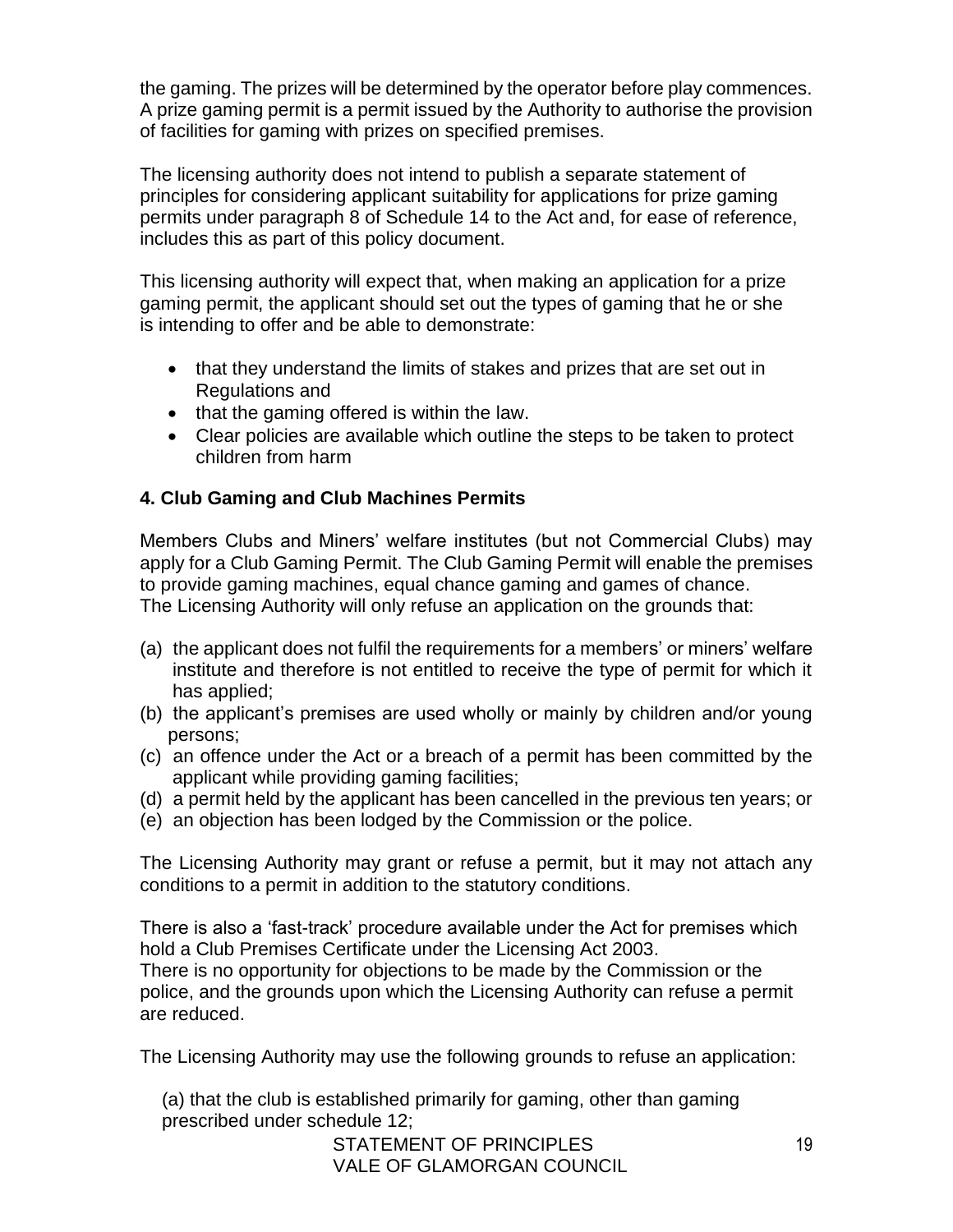the gaming. The prizes will be determined by the operator before play commences. A prize gaming permit is a permit issued by the Authority to authorise the provision of facilities for gaming with prizes on specified premises.

The licensing authority does not intend to publish a separate statement of principles for considering applicant suitability for applications for prize gaming permits under paragraph 8 of Schedule 14 to the Act and, for ease of reference, includes this as part of this policy document.

This licensing authority will expect that, when making an application for a prize gaming permit, the applicant should set out the types of gaming that he or she is intending to offer and be able to demonstrate:

- that they understand the limits of stakes and prizes that are set out in Regulations and
- that the gaming offered is within the law.
- Clear policies are available which outline the steps to be taken to protect children from harm

# **4. Club Gaming and Club Machines Permits**

Members Clubs and Miners' welfare institutes (but not Commercial Clubs) may apply for a Club Gaming Permit. The Club Gaming Permit will enable the premises to provide gaming machines, equal chance gaming and games of chance. The Licensing Authority will only refuse an application on the grounds that:

- (a) the applicant does not fulfil the requirements for a members' or miners' welfare institute and therefore is not entitled to receive the type of permit for which it has applied;
- (b) the applicant's premises are used wholly or mainly by children and/or young persons;
- (c) an offence under the Act or a breach of a permit has been committed by the applicant while providing gaming facilities;
- (d) a permit held by the applicant has been cancelled in the previous ten years; or
- (e) an objection has been lodged by the Commission or the police.

The Licensing Authority may grant or refuse a permit, but it may not attach any conditions to a permit in addition to the statutory conditions.

There is also a 'fast-track' procedure available under the Act for premises which hold a Club Premises Certificate under the Licensing Act 2003.

There is no opportunity for objections to be made by the Commission or the police, and the grounds upon which the Licensing Authority can refuse a permit are reduced.

The Licensing Authority may use the following grounds to refuse an application:

(a) that the club is established primarily for gaming, other than gaming prescribed under schedule 12;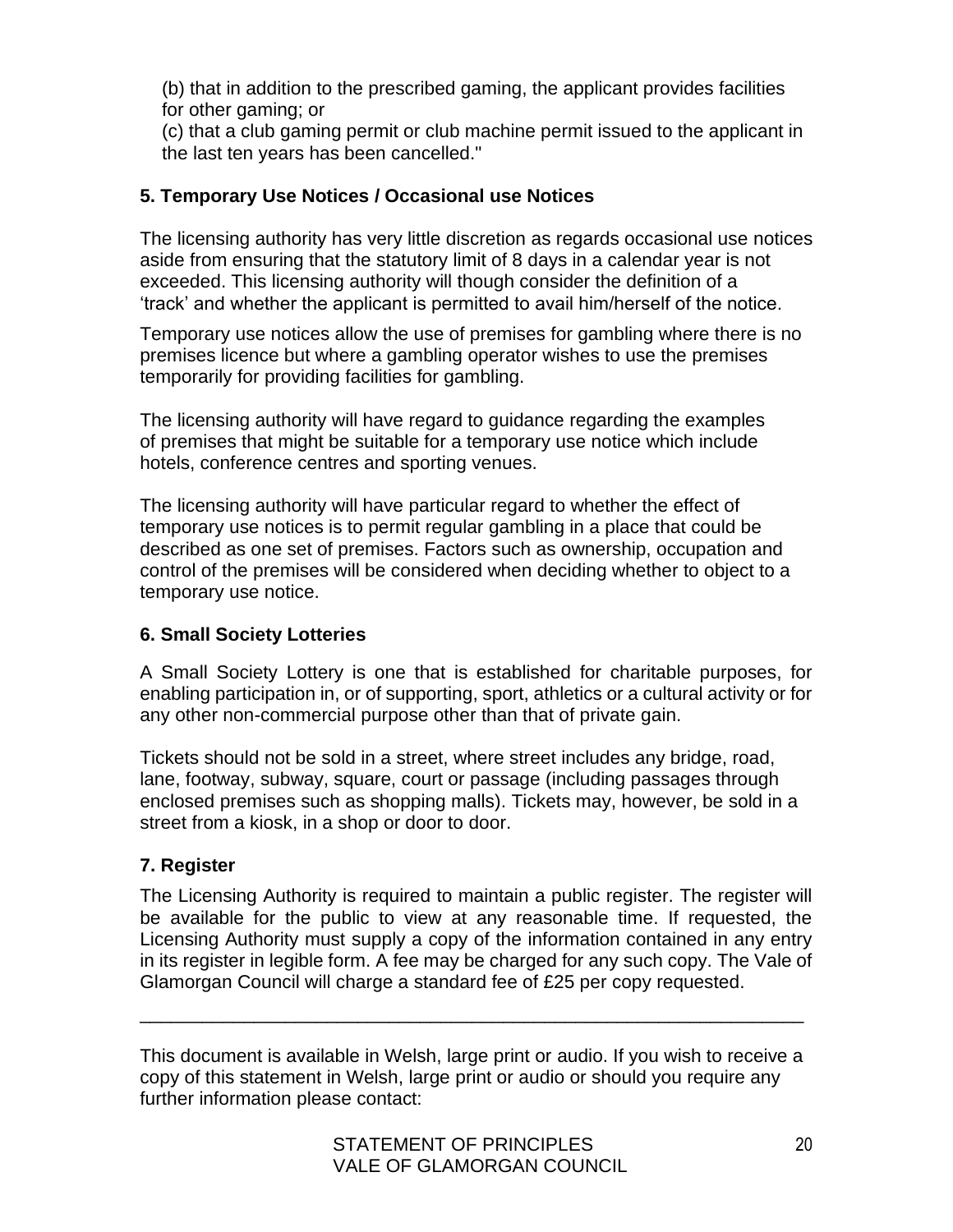(b) that in addition to the prescribed gaming, the applicant provides facilities for other gaming; or

(c) that a club gaming permit or club machine permit issued to the applicant in the last ten years has been cancelled."

## **5. Temporary Use Notices / Occasional use Notices**

The licensing authority has very little discretion as regards occasional use notices aside from ensuring that the statutory limit of 8 days in a calendar year is not exceeded. This licensing authority will though consider the definition of a 'track' and whether the applicant is permitted to avail him/herself of the notice.

Temporary use notices allow the use of premises for gambling where there is no premises licence but where a gambling operator wishes to use the premises temporarily for providing facilities for gambling.

The licensing authority will have regard to guidance regarding the examples of premises that might be suitable for a temporary use notice which include hotels, conference centres and sporting venues.

The licensing authority will have particular regard to whether the effect of temporary use notices is to permit regular gambling in a place that could be described as one set of premises. Factors such as ownership, occupation and control of the premises will be considered when deciding whether to object to a temporary use notice.

## **6. Small Society Lotteries**

A Small Society Lottery is one that is established for charitable purposes, for enabling participation in, or of supporting, sport, athletics or a cultural activity or for any other non-commercial purpose other than that of private gain.

Tickets should not be sold in a street, where street includes any bridge, road, lane, footway, subway, square, court or passage (including passages through enclosed premises such as shopping malls). Tickets may, however, be sold in a street from a kiosk, in a shop or door to door.

# **7. Register**

The Licensing Authority is required to maintain a public register. The register will be available for the public to view at any reasonable time. If requested, the Licensing Authority must supply a copy of the information contained in any entry in its register in legible form. A fee may be charged for any such copy. The Vale of Glamorgan Council will charge a standard fee of £25 per copy requested.

This document is available in Welsh, large print or audio. If you wish to receive a copy of this statement in Welsh, large print or audio or should you require any further information please contact:

\_\_\_\_\_\_\_\_\_\_\_\_\_\_\_\_\_\_\_\_\_\_\_\_\_\_\_\_\_\_\_\_\_\_\_\_\_\_\_\_\_\_\_\_\_\_\_\_\_\_\_\_\_\_\_\_\_\_\_\_\_\_\_\_